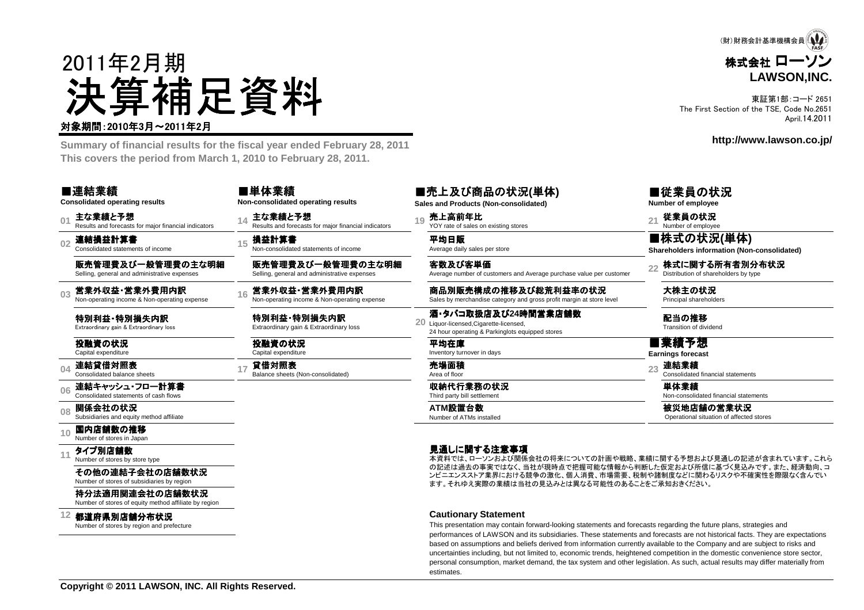

東証第1部:コード 2651 The First Section of the TSE, Code No.2651April.14.2011

**http://www.lawson.co.jp/**



 **Summary of financial results for the fiscal year ended February 28, 2011This covers the period from March 1, 2010 to February 28, 2011.**

### ■連結業績

**Consolidated operating results**

**01**主な業績と予想<br>Results and forecasts for maior financial indicators

**02**連結損益計算書 Consolidated statements of income

販売管理費及び一般管理費の主な明細Selling, general and administrative expenses

**03**営業外収益・営業外費用内訳<br>Non-operating income & Non-operating expense

特別利益・特別損失内訳<br><sub>Extraordinary gain & Extraordinary Id</sub> Extraordinary gain & Extraordinary loss

投融資の状況Capital expenditure

**04連結貸借対照表**<br>Consolidated balance sheets

#### **06**連結キャッシュ・フロー計算書 Consolidated statements of cash flows

**08関係会社の状況**<br>Subsidiaries and equity method affiliate

#### **10**国内店舗数の推移<br><sub>Number of stores in Japar</sub>

**11**タイプ別店舗数<br>Number of stores by store type

> その他の連結子会社の店舗数状況Number of stores of subsidiaries by region

持分法適用関連会社の店舗数状況

Number of stores of equity method affiliate by region

**12**都道府県別店舗分布状況

Number of stores by region and prefecture

■単体業績**Non-consolidated operating results**

**損益計算書**<br>Non-consolidated statements of income Average daily sales per store

販売管理費及び一般管理費の主な明細Selling, general and administrative expenses

特別利益・特別損失内訳<br><sub>Extraordinary qain & Extraordinary</sub> Extraordinary gain & Extraordinary loss**<sup>20</sup>**

投融資の状況Capital expenditure

 **<sup>14</sup>** 主な業績と予想 Results and forecasts for major financial indicators **<sup>19</sup>** 売上高前年比 YOY rate of sales on existing stores **<sup>21</sup>** 従業員の状況 Number of employee■売上及び商品の状況**(**単体**)Sales and Products (Non-consolidated)**

客数及び客単価Average number of customers and Average purchase value per customer

**<sup>16</sup>** 営業外収益・営業外費用内訳 ・営業外費用内訳 Non-operating income & Non-operating expense 商品別販売構成の推移及び総荒利益率の状況 Sales by merchandise category and gross profit margin at store level 大株主の状況 Principal shareholders

酒・タバコ取扱店及び**24**時間営業店舗数20 Liquor-licensed.Cigarette-licensed, 24 hour operating & Parkinglots equipped stores

平均在庫Inventory turnover in days

**ATM**設置台数 Number of ATMs installed

#### 見通しに関する注意事項

 本資料では、ローソンおよび関係会社の将来についての計画や戦略、業績に関する予想および見通しの記述が含まれています。これら の記述は過去の事実ではなく、当社が現時点で把握可能な情報から判断した仮定および所信に基づく見込みです。また、経済動向、コ ンビニエンスストア業界における競争の激化、個人消費、市場需要、税制や諸制度などに関わるリスクや不確実性を際限なく含んでいます。それゆえ実際の業績は当社の見込みとは異なる可能性のあることをご承知おきください。

#### **Cautionary Statement**

 This presentation may contain forward-looking statements and forecasts regarding the future plans, strategies and performances of LAWSON and its subsidiaries. These statements and forecasts are not historical facts. They are expectationsbased on assumptions and beliefs derived from information currently available to the Company and are subject to risks and uncertainties including, but not limited to, economic trends, heightened competition in the domestic convenience store sector, personal consumption, market demand, the tax system and other legislation. As such, actual results may differ materially fromestimates.

■従業員の状況 **Number of employee**

 ■株式の状況**(**単体**)Shareholders information (Non-consolidated)**

22 株式に関する所有者別分布状況<br>Distribution of shareholders by type

配当の推移Transition of dividend

■業績予想**Earnings forecast**

**<sup>17</sup>** 貸借対照表 Balance sheets (Non-consolidated) 売場面積 Area of floor **<sup>23</sup>** 連結業績 Consolidated financial statements

■ キングのサントの<mark>収納代行業務の状況</mark> キングの1つのようにはなります。 単体業績 インスポイント はんじょう はんじょう はんじょう はんじょう はんじょう はんじょう はんじょう はんじょう はんじょう はんじょう はんじょう

ATM設置台数<br>Number of ATMs installed Number of ATMs installed Superational situation of affected stores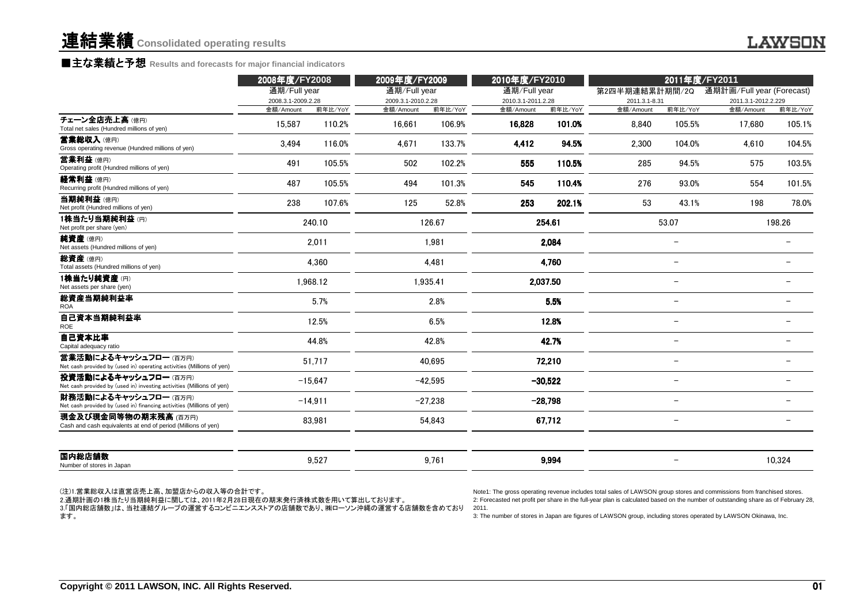## ■主な業績と予想 Results and forecasts for major financial indicators<br>————————————————————

|                                                                                                                                                                           | 2008年度/FY2008                   |           | 2009年度/FY2009                   |           | 2011年度/FY2011<br>2010年度/FY2010  |           |                                                                                                                                                                                                                                                                                                                                                                                 |                          |                                  |                          |
|---------------------------------------------------------------------------------------------------------------------------------------------------------------------------|---------------------------------|-----------|---------------------------------|-----------|---------------------------------|-----------|---------------------------------------------------------------------------------------------------------------------------------------------------------------------------------------------------------------------------------------------------------------------------------------------------------------------------------------------------------------------------------|--------------------------|----------------------------------|--------------------------|
|                                                                                                                                                                           | 通期/Full year                    |           | 通期/Full year                    |           | 通期/Full year                    |           | 第2四半期連結累計期間/2Q                                                                                                                                                                                                                                                                                                                                                                  |                          | 通期計画/Full year (Forecast)        |                          |
|                                                                                                                                                                           | 2008.3.1-2009.2.28<br>金額/Amount | 前年比/YoY   | 2009.3.1-2010.2.28<br>金額/Amount | 前年比/YoY   | 2010.3.1-2011.2.28<br>金額/Amount | 前年比/YoY   | 2011.3.1-8.31<br>金額/Amount                                                                                                                                                                                                                                                                                                                                                      | 前年比/YoY                  | 2011.3.1-2012.2.229<br>金額/Amount | 前年比/YoY                  |
| チェーン全店売上高(億円)<br>Total net sales (Hundred millions of yen)                                                                                                                | 15,587                          | 110.2%    | 16,661                          | 106.9%    | 16,828                          | 101.0%    | 8.840                                                                                                                                                                                                                                                                                                                                                                           | 105.5%                   | 17,680                           | 105.1%                   |
| 営業総収入(億円)<br>Gross operating revenue (Hundred millions of yen)                                                                                                            | 3.494                           | 116.0%    | 4.671                           | 133.7%    | 4,412                           | 94.5%     | 2.300                                                                                                                                                                                                                                                                                                                                                                           | 104.0%                   | 4.610                            | 104.5%                   |
| 営業利益 (億円)<br>Operating profit (Hundred millions of yen)                                                                                                                   | 491                             | 105.5%    | 502                             | 102.2%    | 555                             | 110.5%    | 285                                                                                                                                                                                                                                                                                                                                                                             | 94.5%                    | 575                              | 103.5%                   |
| 経常利益 (億円)<br>Recurring profit (Hundred millions of yen)                                                                                                                   | 487                             | 105.5%    | 494                             | 101.3%    | 545                             | 110.4%    | 276                                                                                                                                                                                                                                                                                                                                                                             | 93.0%                    | 554                              | 101.5%                   |
| 当期純利益(億円)<br>Net profit (Hundred millions of yen)                                                                                                                         | 238                             | 107.6%    | 125                             | 52.8%     | 253                             | 202.1%    | 53                                                                                                                                                                                                                                                                                                                                                                              | 43.1%                    | 198                              | 78.0%                    |
| 1株当たり当期純利益(円)<br>Net profit per share (yen)                                                                                                                               |                                 | 240.10    |                                 | 126.67    |                                 | 254.61    |                                                                                                                                                                                                                                                                                                                                                                                 | 53.07                    |                                  | 198.26                   |
| 純資産(億円)<br>Net assets (Hundred millions of yen)                                                                                                                           |                                 | 2,011     |                                 | 1,981     |                                 | 2,084     |                                                                                                                                                                                                                                                                                                                                                                                 | $\overline{\phantom{0}}$ |                                  |                          |
| 総資産(億円)<br>Total assets (Hundred millions of yen)                                                                                                                         |                                 | 4,360     |                                 | 4,481     |                                 | 4.760     |                                                                                                                                                                                                                                                                                                                                                                                 |                          |                                  |                          |
| 1株当たり純資産(円)<br>Net assets per share (yen)                                                                                                                                 |                                 | 1,968.12  |                                 | 1,935.41  |                                 | 2,037.50  |                                                                                                                                                                                                                                                                                                                                                                                 | $\overline{\phantom{a}}$ |                                  |                          |
| 総資産当期純利益率<br><b>ROA</b>                                                                                                                                                   |                                 | 5.7%      |                                 | 2.8%      |                                 | 5.5%      |                                                                                                                                                                                                                                                                                                                                                                                 |                          |                                  |                          |
| 自己資本当期純利益率<br><b>ROE</b>                                                                                                                                                  |                                 | 12.5%     |                                 | 6.5%      |                                 | 12.8%     |                                                                                                                                                                                                                                                                                                                                                                                 | $\equiv$                 |                                  |                          |
| 自己資本比率<br>Capital adequacy ratio                                                                                                                                          |                                 | 44.8%     |                                 | 42.8%     |                                 | 42.7%     |                                                                                                                                                                                                                                                                                                                                                                                 | $\overline{\phantom{m}}$ |                                  | $\overline{\phantom{0}}$ |
| 営業活動によるキャッシュフロー(百万円)<br>Net cash provided by (used in) operating activities (Millions of yen)                                                                             |                                 | 51,717    |                                 | 40.695    |                                 | 72,210    |                                                                                                                                                                                                                                                                                                                                                                                 | $\overline{\phantom{a}}$ |                                  |                          |
| 投資活動によるキャッシュフロー(百万円)<br>Net cash provided by (used in) investing activities (Millions of yen)                                                                             |                                 | $-15,647$ |                                 | $-42.595$ |                                 | $-30,522$ |                                                                                                                                                                                                                                                                                                                                                                                 | $\equiv$                 |                                  | $\equiv$                 |
| 財務活動によるキャッシュフロー (百万円)<br>Net cash provided by (used in) financing activities (Millions of yen)                                                                            |                                 | $-14,911$ |                                 | $-27,238$ |                                 | $-28,798$ |                                                                                                                                                                                                                                                                                                                                                                                 |                          |                                  |                          |
| 現金及び現金同等物の期末残高 (百万円)<br>Cash and cash equivalents at end of period (Millions of yen)                                                                                      |                                 | 83,981    |                                 | 54,843    |                                 | 67,712    |                                                                                                                                                                                                                                                                                                                                                                                 |                          |                                  |                          |
| 国内総店舗数<br>Number of stores in Japan                                                                                                                                       |                                 | 9,527     |                                 | 9,761     |                                 | 9,994     |                                                                                                                                                                                                                                                                                                                                                                                 | $\overline{\phantom{a}}$ |                                  | 10,324                   |
| (注)1.営業総収入は直営店売上高、加盟店からの収入等の合計です。<br>2.通期計画の1株当たり当期純利益に関しては、2011年2月28日現在の期末発行済株式数を用いて算出しております。<br>3.「国内総店舗数」は、当社連結グループの運営するコンビニエンスストアの店舗数であり、㈱ローソン沖縄の運営する店舗数を含めており<br>ます。 |                                 |           |                                 |           | 2011.                           |           | Note1: The gross operating revenue includes total sales of LAWSON group stores and commissions from franchised stores.<br>2: Forecasted net profit per share in the full-year plan is calculated based on the number of outstanding share as of February 28,<br>3: The number of stores in Japan are figures of LAWSON group, including stores operated by LAWSON Okinawa, Inc. |                          |                                  |                          |
| Copyright © 2011 LAWSON, INC. All Rights Reserved.                                                                                                                        |                                 |           |                                 |           |                                 |           |                                                                                                                                                                                                                                                                                                                                                                                 |                          |                                  | 0                        |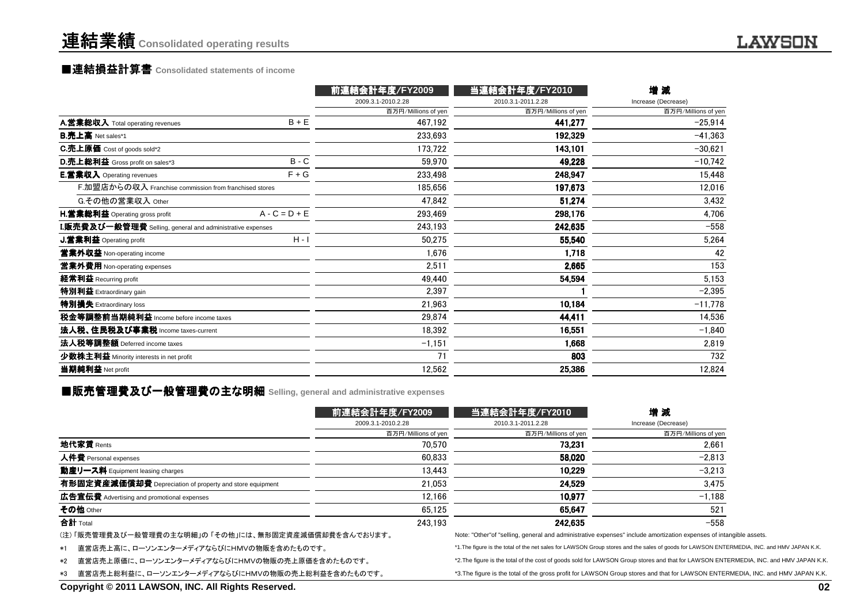# 連結業績**Consolidated operating results**

# ■連結損益計算書 ■連結損益計算書**Consolidated statements of income**

|                                                           |                 | 前連結会計年度/FY2009      | 当連結会計年度/FY2010      | 增減                  |
|-----------------------------------------------------------|-----------------|---------------------|---------------------|---------------------|
|                                                           |                 | 2009.3.1-2010.2.28  | 2010.3.1-2011.2.28  | Increase (Decrease) |
|                                                           |                 | 百万円/Millions of yen | 百万円/Millions of yen | 百万円/Millions of yen |
| A.営業総収入 Total operating revenues                          | $B + E$         | 467,192             | 441,277             | $-25,914$           |
| <b>B.売上高</b> Net sales*1                                  |                 | 233.693             | 192,329             | $-41,363$           |
| C.売上原価 Cost of goods sold*2                               |                 | 173,722             | 143,101             | $-30,621$           |
| <b>D.売上総利益</b> Gross profit on sales*3                    | $B - C$         | 59,970              | 49,228              | $-10,742$           |
| <b>E.営業収入</b> Operating revenues                          | $F + G$         | 233,498             | 248,947             | 15,448              |
| F.加盟店からの収入 Franchise commission from franchised stores    |                 | 185,656             | 197,673             | 12,016              |
| G.その他の営業収入 Other                                          |                 | 47,842              | 51,274              | 3,432               |
| H.営業総利益 Operating gross profit                            | $A - C = D + E$ | 293,469             | 298,176             | 4,706               |
| I.販売費及び一般管理費 Selling, general and administrative expenses |                 | 243,193             | 242,635             | $-558$              |
| J.営業利益 Operating profit                                   | $H - I$         | 50,275              | 55,540              | 5,264               |
| 営業外収益 Non-operating income                                |                 | 1,676               | 1,718               | 42                  |
| 営業外費用 Non-operating expenses                              |                 | 2,511               | 2,665               | 153                 |
| 経常利益 Recurring profit                                     |                 | 49,440              | 54,594              | 5,153               |
| 特別利益 Extraordinary gain                                   |                 | 2,397               |                     | $-2,395$            |
| 特別損失 Extraordinary loss                                   |                 | 21,963              | 10,184              | $-11,778$           |
| 税金等調整前当期純利益 Income before income taxes                    |                 | 29,874              | 44,411              | 14,536              |
| 法人税、住民税及び事業税 Income taxes-current                         |                 | 18,392              | 16,551              | $-1,840$            |
| 法人税等調整額 Deferred income taxes                             |                 | $-1,151$            | 1,668               | 2,819               |
| 少数株主利益 Minority interests in net profit                   |                 | 71                  | 803                 | 732                 |
| 当期純利益 Net profit                                          |                 | 12,562              | 25,386              | 12,824              |
|                                                           |                 |                     |                     |                     |

# ■販売管理費及び一般管理費の主な明細 Selling, general and administrative expenses<br>-

|                                                                                                                                                                                              | 前連結会計年度/FY2009      | 当連結会計年度/FY2010                                                                                                                             | 増減                  |    |
|----------------------------------------------------------------------------------------------------------------------------------------------------------------------------------------------|---------------------|--------------------------------------------------------------------------------------------------------------------------------------------|---------------------|----|
|                                                                                                                                                                                              | 2009.3.1-2010.2.28  | 2010.3.1-2011.2.28                                                                                                                         | Increase (Decrease) |    |
|                                                                                                                                                                                              | 百万円/Millions of yen | 百万円/Millions of yen                                                                                                                        | 百万円/Millions of yen |    |
| 地代家賃 Rents                                                                                                                                                                                   | 70.570              | 73.231                                                                                                                                     | 2,661               |    |
| 人件費 Personal expenses                                                                                                                                                                        | 60.833              | 58.020                                                                                                                                     | $-2,813$            |    |
| 動産リース料 Equipment leasing charges                                                                                                                                                             | 13.443              | 10.229                                                                                                                                     | $-3,213$            |    |
| 有形固定資産減価償却費 Depreciation of property and store equipment                                                                                                                                     | 21,053              | 24.529                                                                                                                                     | 3,475               |    |
| 広告宣伝費 Advertising and promotional expenses                                                                                                                                                   | 12.166              | 10.977                                                                                                                                     | $-1,188$            |    |
| その他 Other                                                                                                                                                                                    | 65.125              | 65.647                                                                                                                                     | 521                 |    |
| 合計 Total                                                                                                                                                                                     | 243.193             | 242.635                                                                                                                                    | $-558$              |    |
| (注) 「販売管理費及び一般管理費の主な明細」の 「その他」には、無形固定資産減価償却費を含んでおります。                                                                                                                                        |                     | Note: "Other" of "selling, general and administrative expenses" include amortization expenses of intangible assets.                        |                     |    |
| 直営店売上高に、ローソンエンターメディアならびにHMVの物販を含めたものです。<br>$*1$                                                                                                                                              |                     | *1. The figure is the total of the net sales for LAWSON Group stores and the sales of goods for LAWSON ENTERMEDIA, INC. and HMV JAPAN K.K. |                     |    |
| 直営店売上原価に、ローソンエンターメディアならびにHMVの物販の売上原価を含めたものです。<br>*2. The figure is the total of the cost of goods sold for LAWSON Group stores and that for LAWSON ENTERMEDIA, INC. and HMV JAPAN K.K.<br>*2 |                     |                                                                                                                                            |                     |    |
| 直営店売上総利益に、ローソンエンターメディアならびにHMVの物販の売上総利益を含めたものです。<br>*3                                                                                                                                        |                     | *3. The figure is the total of the gross profit for LAWSON Group stores and that for LAWSON ENTERMEDIA, INC. and HMV JAPAN K.K.            |                     |    |
| Copyright © 2011 LAWSON, INC. All Rights Reserved.                                                                                                                                           |                     |                                                                                                                                            |                     | 02 |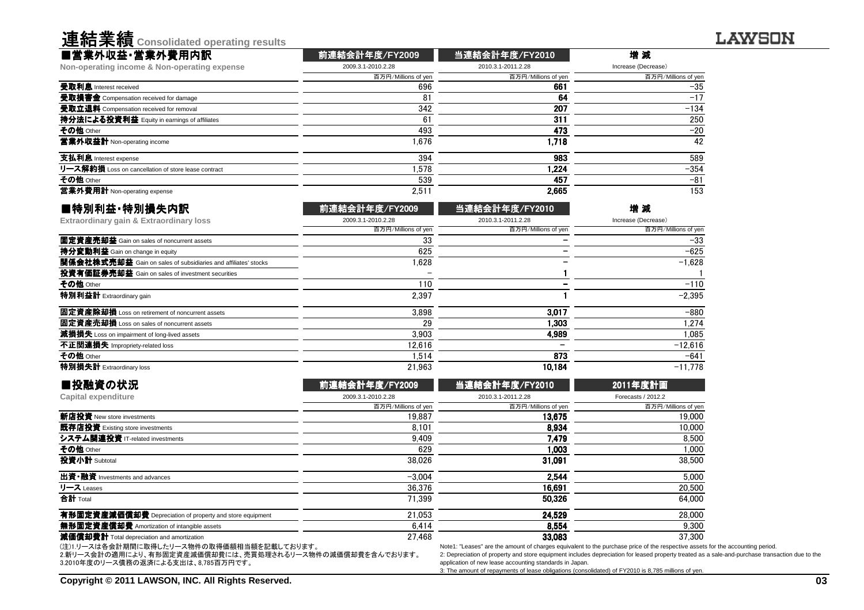| <b>进和禾暇</b> Consolidated operating results          |                     |                     |                     |
|-----------------------------------------------------|---------------------|---------------------|---------------------|
| ■営業外収益・営業外費用内訳                                      | 前連結会計年度/FY2009      | 当連結会計年度/FY2010      | 增減                  |
| Non-operating income & Non-operating expense        | 2009.3.1-2010.2.28  | 2010.3.1-2011.2.28  | Increase (Decrease) |
|                                                     | 百万円/Millions of yen | 百万円/Millions of yen | 百万円/Millions of yen |
| 受取利息 Interest received                              | 696                 | 661                 | $-35$               |
| 受取損害金 Compensation received for damage              | 81                  | 64                  | $-17$               |
| 受取立退料 Compensation received for removal             | 342                 | 207                 | $-134$              |
| 持分法による投資利益 Equity in earnings of affiliates         | 61                  | 311                 | 250                 |
| その他 Other                                           | 493                 | 473                 | $-20$               |
| 営業外収益計 Non-operating income                         | 1.676               | 1.718               | 42                  |
| 支払利息 Interest expense                               | 394                 | 983                 | 589                 |
| リース解約損 Loss on cancellation of store lease contract | 1.578               | 1.224               | $-354$              |
| その他 Other                                           | 539                 | 457                 | $-81$               |
| 営業外費用計 Non-operating expense                        | 2,511               | 2,665               | 153                 |
|                                                     |                     |                     |                     |

| ■特別利益·特別損失内訳                                                          | 前連結会計年度/FY2009      | 当連結会計年度/FY2010      | 増減                  |
|-----------------------------------------------------------------------|---------------------|---------------------|---------------------|
| Extraordinary gain & Extraordinary loss                               | 2009.3.1-2010.2.28  | 2010.3.1-2011.2.28  | Increase (Decrease) |
|                                                                       | 百万円/Millions of yen | 百万円/Millions of yen | 百万円/Millions of yen |
| 固定資産売却益 Gain on sales of noncurrent assets                            | 33                  |                     | $-33$               |
| <b>持分変動利益</b> Gain on change in equity                                | 625                 |                     | $-625$              |
| <b>関係会社株式売却益</b> Gain on sales of subsidiaries and affiliates' stocks | .628 ا              |                     | $-1.628$            |
| 投資有価証券売却益 Gain on sales of investment securities                      |                     |                     |                     |
| その他 Other                                                             | 110                 |                     | $-110$              |
| 特別利益計 Extraordinary gain                                              | 2.397               |                     | $-2.395$            |
| 固定資産除却損 Loss on retirement of noncurrent assets                       | 3.898               | 3,017               | $-880$              |
| 固定資産売却損 Loss on sales of noncurrent assets                            | 29                  | 1.303               | 1.274               |
| 減損損失 Loss on impairment of long-lived assets                          | 3.903               | 4.989               | 1.085               |
| 不正関連損失 Impropriety-related loss                                       | 12.616              |                     | $-12.616$           |
| その他 Other                                                             | 1.514               | 873                 | $-641$              |
| 特別損失計 Extraordinary loss                                              | 21.963              | 10.184              | $-11.778$           |

| ■投融資の状況                                                  | 前連結会計年度/FY2009      | 当連結会計年度/FY2010                                                                                                                | 2011年度計画            |
|----------------------------------------------------------|---------------------|-------------------------------------------------------------------------------------------------------------------------------|---------------------|
| Capital expenditure                                      | 2009.3.1-2010.2.28  | 2010.3.1-2011.2.28                                                                                                            | Forecasts / 2012.2  |
|                                                          | 百万円/Millions of yen | 百万円/Millions of yen                                                                                                           | 百万円/Millions of yen |
| 新店投資 New store investments                               | 19.887              | 13.675                                                                                                                        | 19,000              |
| 既存店投資 Existing store investments                         | 8.101               | 8.934                                                                                                                         | 10,000              |
| システム関連投資 IT-related investments                          | 9.409               | 7.479                                                                                                                         | 8,500               |
| その他 Other                                                | 629                 | 1.003                                                                                                                         | 1.000               |
| 投資小計 Subtotal                                            | 38.026              | 31.091                                                                                                                        | 38,500              |
| 出資•融資 Investments and advances                           | $-3.004$            | 2.544                                                                                                                         | 5.000               |
| リース Leases                                               | 36,376              | 16.691                                                                                                                        | 20,500              |
| 合計 Total                                                 | 71.399              | 50.326                                                                                                                        | 64.000              |
| 有形固定資産減価償却費 Depreciation of property and store equipment | 21.053              | 24.529                                                                                                                        | 28,000              |
| <b>無形固定資産償却費</b> Amortization of intangible assets       | 6.414               | 8.554                                                                                                                         | 9.300               |
| 減価償却費計 Total depreciation and amortization               | 27.468              | 33.083                                                                                                                        | 37.300              |
| (注)1.リースは各会計期間に取得したリース物件の取得価額相当額を記載しております。               |                     | Note1: "Leases" are the amount of charges equivalent to the purchase price of the respective assets for the accounting period |                     |

(注)1.リースは各会計期間に取得したリース物件の取得価額相当額を記載しております。 2.新リース会計の適用により、有形固定資産減価償却費には、売買処理されるリース物件の減価償却費を含んでおります。 3.2010年度のリース債務の返済による支出は、8,785百万円です。

**、古《士 <del>业</del> 《主** 

 2: Depreciation of property and store equipment includes depreciation for leased property treated as a sale-and-purchase transaction due to theapplication of new lease accounting standards in Japan.3: The amount of repayments of lease obligations (consolidated) of FY2010 is 8,785 millions of yen.

**LAWSON**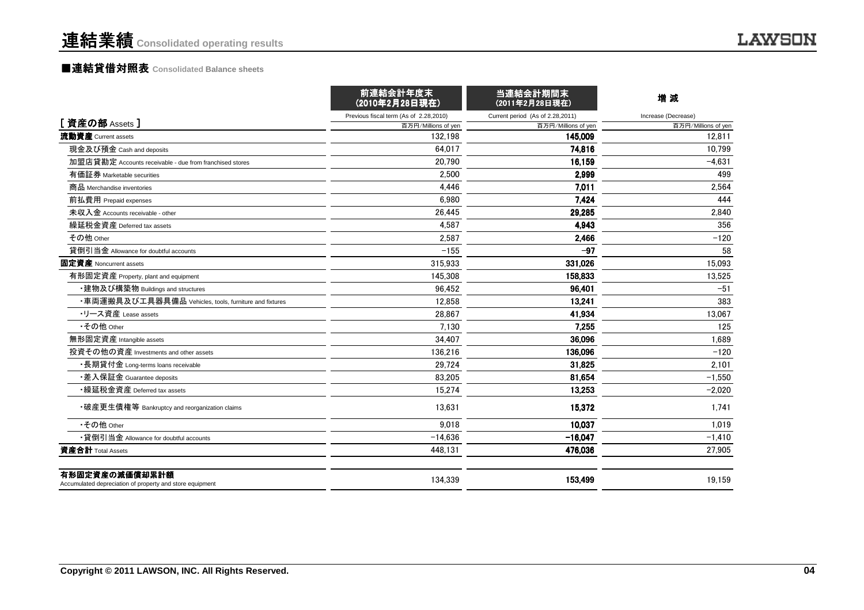# ■連結貸借対照表 **Consolidated Balance sheets**

|                                                                            | 前連結会計年度末<br>(2010年2月28日現在)             | 当連結会計期間末<br>(2011年2月28日現在)       | 増減                  |
|----------------------------------------------------------------------------|----------------------------------------|----------------------------------|---------------------|
|                                                                            | Previous fiscal term (As of 2.28,2010) | Current period (As of 2.28,2011) | Increase (Decrease) |
| [資産の部 Assets]                                                              | 百万円/Millions of yen                    | 百万円/Millions of yen              | 百万円/Millions of yen |
| 流動資産 Current assets                                                        | 132.198                                | 145.009                          | 12.811              |
| 現金及び預金 Cash and deposits                                                   | 64.017                                 | 74.816                           | 10.799              |
| 加盟店貸勘定 Accounts receivable - due from franchised stores                    | 20,790                                 | 16,159                           | $-4,631$            |
| 有価証券 Marketable securities                                                 | 2.500                                  | 2,999                            | 499                 |
| 商品 Merchandise inventories                                                 | 4.446                                  | 7,011                            | 2,564               |
| 前払費用 Prepaid expenses                                                      | 6,980                                  | 7,424                            | 444                 |
| 未収入金 Accounts receivable - other                                           | 26.445                                 | 29.285                           | 2.840               |
| 繰延税金資産 Deferred tax assets                                                 | 4,587                                  | 4,943                            | 356                 |
| その他 Other                                                                  | 2,587                                  | 2.466                            | $-120$              |
| 貸倒引当金 Allowance for doubtful accounts                                      | $-155$                                 | $-97$                            | 58                  |
| 固定資産 Noncurrent assets                                                     | 315,933                                | 331,026                          | 15.093              |
| 有形固定資産 Property, plant and equipment                                       | 145,308                                | 158,833                          | 13,525              |
| •建物及び構築物 Buildings and structures                                          | 96.452                                 | 96,401                           | $-51$               |
| ・車両運搬具及び工具器具備品 Vehicles, tools, furniture and fixtures                     | 12.858                                 | 13.241                           | 383                 |
| ・リース資産 Lease assets                                                        | 28.867                                 | 41.934                           | 13.067              |
| •その他 Other                                                                 | 7.130                                  | 7.255                            | 125                 |
| 無形固定資産 Intangible assets                                                   | 34,407                                 | 36.096                           | 1,689               |
| 投資その他の資産 Investments and other assets                                      | 136,216                                | 136.096                          | $-120$              |
| ・長期貸付金 Long-terms loans receivable                                         | 29.724                                 | 31.825                           | 2.101               |
| •差入保証金 Guarantee deposits                                                  | 83,205                                 | 81,654                           | $-1,550$            |
| •繰延税金資産 Deferred tax assets                                                | 15.274                                 | 13,253                           | $-2,020$            |
| •破産更生債権等 Bankruptcy and reorganization claims                              | 13.631                                 | 15,372                           | 1.741               |
| •その他 Other                                                                 | 9.018                                  | 10.037                           | 1.019               |
| •貸倒引当金 Allowance for doubtful accounts                                     | $-14.636$                              | $-16,047$                        | $-1,410$            |
| 資産合計 Total Assets                                                          | 448,131                                | 476,036                          | 27,905              |
| 有形固定資産の減価償却累計額<br>Accumulated depreciation of property and store equipment | 134,339                                | 153,499                          | 19,159              |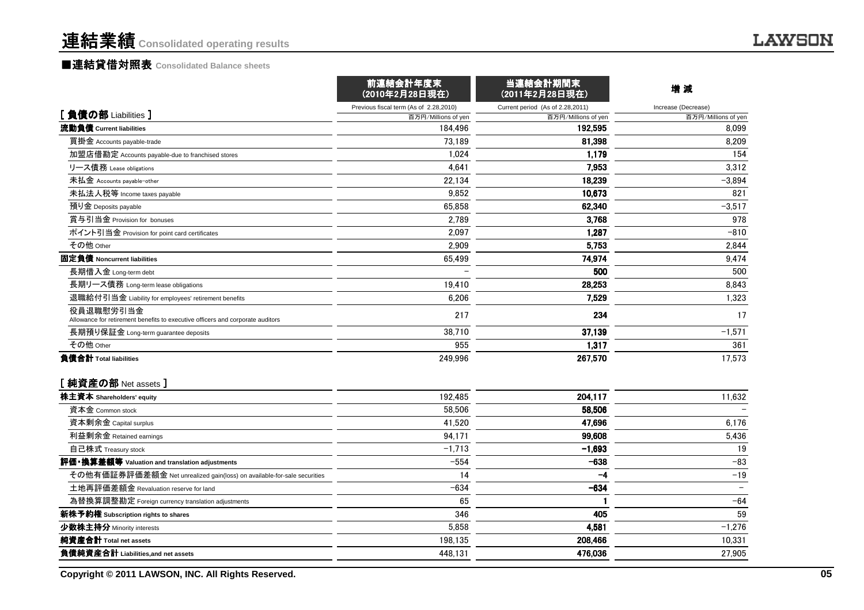### ■連結貸借対照表 **Consolidated Balance sheets**

|                                                                                             | 前連結会計年度末<br>(2010年2月28日現在)             | 当連結会計期間末<br>(2011年2月28日現在)       | 增減                  |
|---------------------------------------------------------------------------------------------|----------------------------------------|----------------------------------|---------------------|
|                                                                                             | Previous fiscal term (As of 2.28,2010) | Current period (As of 2.28,2011) | Increase (Decrease) |
| [ 負債の部 Liabilities ]                                                                        | 百万円/Millions of yen                    | 百万円/Millions of yen              | 百万円/Millions of yen |
| 流動負債 Current liabilities                                                                    | 184.496                                | 192,595                          | 8,099               |
| 買掛金 Accounts payable-trade                                                                  | 73.189                                 | 81,398                           | 8,209               |
| 加盟店借勘定 Accounts payable-due to franchised stores                                            | 1.024                                  | 1,179                            | 154                 |
| リース債務 Lease obligations                                                                     | 4.641                                  | 7,953                            | 3,312               |
| 未払金 Accounts payable-other                                                                  | 22.134                                 | 18,239                           | $-3,894$            |
| 未払法人税等 Income taxes payable                                                                 | 9.852                                  | 10.673                           | 821                 |
| 預り金 Deposits payable                                                                        | 65.858                                 | 62,340                           | $-3,517$            |
| 賞与引当金 Provision for bonuses                                                                 | 2.789                                  | 3.768                            | 978                 |
| ポイント引当金 Provision for point card certificates                                               | 2.097                                  | 1.287                            | $-810$              |
| その他 Other                                                                                   | 2,909                                  | 5.753                            | 2,844               |
| 固定負債 Noncurrent liabilities                                                                 | 65,499                                 | 74.974                           | 9,474               |
| 長期借入金 Long-term debt                                                                        |                                        | 500                              | 500                 |
| 長期リース債務 Long-term lease obligations                                                         | 19.410                                 | 28,253                           | 8,843               |
| 退職給付引当金 Liability for employees' retirement benefits                                        | 6,206                                  | 7,529                            | 1,323               |
| 役員退職慰労引当金<br>Allowance for retirement benefits to executive officers and corporate auditors | 217                                    | 234                              | 17                  |
| 長期預り保証金 Long-term guarantee deposits                                                        | 38,710                                 | 37,139                           | $-1,571$            |
| その他 Other                                                                                   | 955                                    | 1,317                            | 361                 |
| 負債合計 Total liabilities                                                                      | 249,996                                | 267,570                          | 17,573              |
| [ 純資産の部 Net assets ]                                                                        |                                        |                                  |                     |
| 株主資本 Shareholders' equity                                                                   | 192,485                                | 204,117                          | 11,632              |
| 資本金 Common stock                                                                            | 58,506                                 | 58,506                           |                     |
| 資本剰余金 Capital surplus                                                                       | 41,520                                 | 47,696                           | 6,176               |
| 利益剰余金 Retained earnings                                                                     | 94,171                                 | 99,608                           | 5,436               |
| 自己株式 Treasury stock                                                                         | $-1,713$                               | $-1,693$                         | 19                  |
| 評価・換算差額等 Valuation and translation adjustments                                              | $-554$                                 | $-638$                           | $-83$               |
| その他有価証券評価差額金 Net unrealized gain(loss) on available-for-sale securities                     | 14                                     | -4                               | $-19$               |
| 土地再評価差額金 Revaluation reserve for land                                                       | $-634$                                 | $-634$                           |                     |
| 為替換算調整勘定 Foreign currency translation adjustments                                           | 65                                     |                                  | $-64$               |
| <b>新株予約権</b> Subscription rights to shares                                                  | 346                                    | 405                              | 59                  |
| 少数株主持分 Minority interests                                                                   | 5,858                                  | 4,581                            | $-1,276$            |
| 純資産合計 Total net assets                                                                      |                                        |                                  |                     |
| 負債純資産合計 Liabilities,and net assets                                                          | 198,135                                | 208,466<br>476,036               | 10,331              |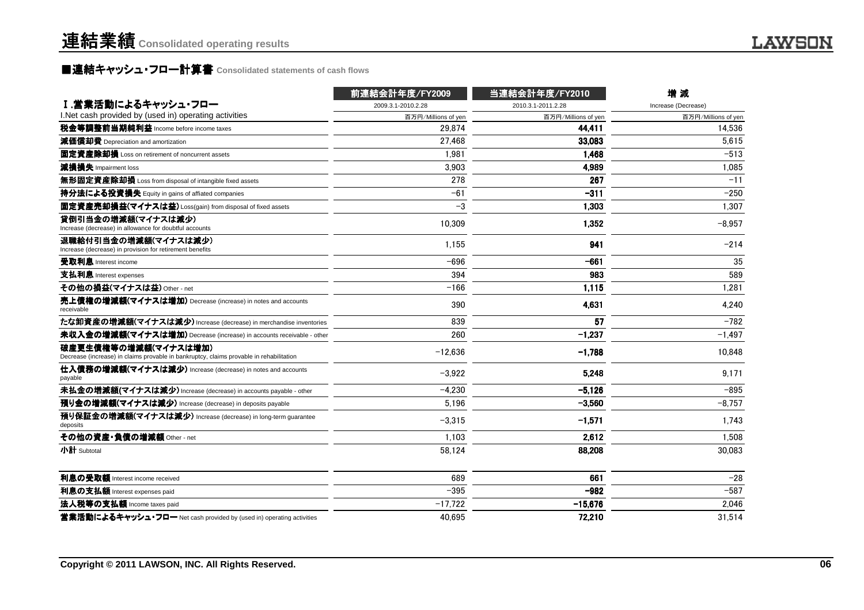# **■連結キャッシュ・フロ一計算書 Consolidated statements of cash flows**

|                                                                                                                 | 前連結会計年度/FY2009      | 当連結会計年度/FY2010      | 增減                  |
|-----------------------------------------------------------------------------------------------------------------|---------------------|---------------------|---------------------|
| Ⅰ.営業活動によるキャッシュ・フロー                                                                                              | 2009.3.1-2010.2.28  | 2010.3.1-2011.2.28  | Increase (Decrease) |
| I. Net cash provided by (used in) operating activities                                                          | 百万円/Millions of yen | 百万円/Millions of yen | 百万円/Millions of yen |
| 税金等調整前当期純利益 Income before income taxes                                                                          | 29,874              | 44.411              | 14,536              |
| 減価償却費 Depreciation and amortization                                                                             | 27,468              | 33,083              | 5,615               |
| 固定資産除却損 Loss on retirement of noncurrent assets                                                                 | 1.981               | 1.468               | $-513$              |
| 減損損失 Impairment loss                                                                                            | 3.903               | 4,989               | 1.085               |
| <b>無形固定資産除却損</b> Loss from disposal of intangible fixed assets                                                  | 278                 | 267                 | $-11$               |
| 持分法による投資損失 Equity in gains of affiated companies                                                                | $-61$               | $-311$              | $-250$              |
| 固定資産売却損益(マイナスは益) Loss(gain) from disposal of fixed assets                                                       | $-3$                | 1.303               | 1.307               |
| 貸倒引当金の増減額(マイナスは減少)<br>Increase (decrease) in allowance for doubtful accounts                                    | 10,309              | 1,352               | $-8,957$            |
| 退職給付引当金の増減額(マイナスは減少)<br>Increase (decrease) in provision for retirement benefits                                | 1,155               | 941                 | $-214$              |
| 受取利息 Interest income                                                                                            | $-696$              | $-661$              | 35                  |
| 支払利息 Interest expenses                                                                                          | 394                 | 983                 | 589                 |
| その他の損益(マイナスは益) Other - net                                                                                      | $-166$              | 1,115               | 1,281               |
| 売上債権の増減額(マイナスは増加) Decrease (increase) in notes and accounts<br>receivable                                       | 390                 | 4.631               | 4.240               |
| たな卸資産の増減額(マイナスは減少) Increase (decrease) in merchandise inventories                                               | 839                 | 57                  | $-782$              |
| 未収入金の増減額(マイナスは増加) Decrease (increase) in accounts receivable - other                                            | 260                 | $-1,237$            | $-1,497$            |
| 破産更生債権等の増減額(マイナスは増加)<br>Decrease (increase) in claims provable in bankruptcy, claims provable in rehabilitation | $-12.636$           | $-1,788$            | 10.848              |
| 仕入債務の増減額(マイナスは減少) Increase (decrease) in notes and accounts<br>payable                                          | $-3.922$            | 5.248               | 9.171               |
| 未払金の増減額(マイナスは減少) Increase (decrease) in accounts payable - other                                                | $-4,230$            | $-5,126$            | $-895$              |
| 預り金の増減額(マイナスは減少) Increase (decrease) in deposits payable                                                        | 5.196               | $-3.560$            | $-8,757$            |
| 預り保証金の増減額(マイナスは減少) Increase (decrease) in long-term guarantee<br>deposits                                       | $-3,315$            | $-1,571$            | 1,743               |
| その他の資産・負債の増減額 Other - net                                                                                       | 1.103               | 2.612               | 1.508               |
| 小計 Subtotal                                                                                                     | 58.124              | 88,208              | 30,083              |
| 利息の受取額 Interest income received                                                                                 | 689                 | 661                 | $-28$               |
| 利息の支払額 Interest expenses paid                                                                                   | $-395$              | $-982$              | $-587$              |
| 法人税等の支払額 Income taxes paid                                                                                      | $-17,722$           | $-15,676$           | 2,046               |
| 営業活動によるキャッシュ・フロー Net cash provided by (used in) operating activities                                            | 40.695              | 72.210              | 31.514              |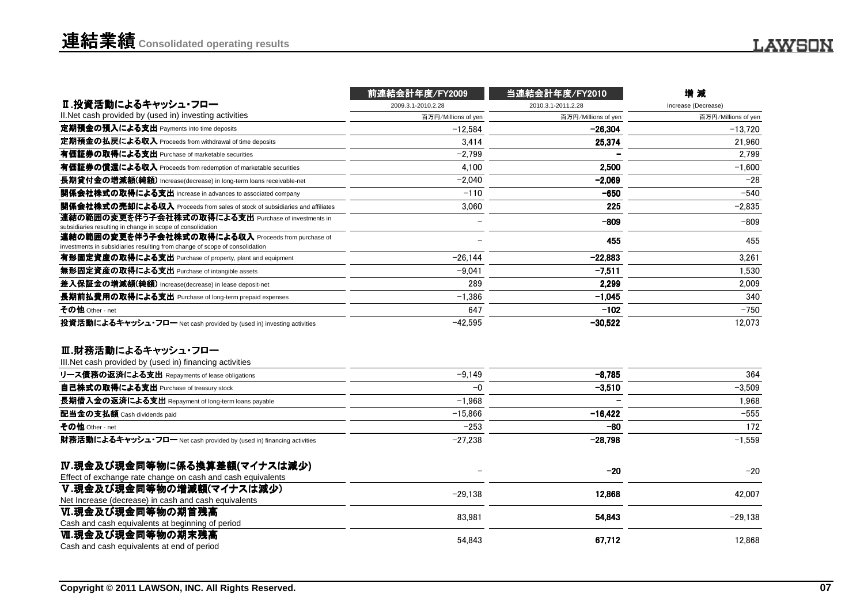|                                                                                                                                   | 前連結会計年度/FY2009      | 当連結会計年度/FY2010      | 增減                  |
|-----------------------------------------------------------------------------------------------------------------------------------|---------------------|---------------------|---------------------|
| Ⅱ.投資活動によるキャッシュ・フロー                                                                                                                | 2009.3.1-2010.2.28  | 2010.3.1-2011.2.28  | Increase (Decrease) |
| II. Net cash provided by (used in) investing activities                                                                           | 百万円/Millions of yen | 百万円/Millions of yen | 百万円/Millions of yen |
| 定期預金の預入による支出 Payments into time deposits                                                                                          | $-12.584$           | -26.304             | $-13.720$           |
| 定期預金の払戻による収入 Proceeds from withdrawal of time deposits                                                                            | 3,414               | 25,374              | 21,960              |
| 有価証券の取得による支出 Purchase of marketable securities                                                                                    | $-2.799$            |                     | 2,799               |
| 有価証券の償還による収入 Proceeds from redemption of marketable securities                                                                    | 4.100               | 2.500               | $-1.600$            |
| 長期貸付金の増減額(純額) Increase(decrease) in long-term loans receivable-net                                                                | $-2.040$            | $-2.069$            | $-28$               |
| 関係会社株式の取得による支出 Increase in advances to associated company                                                                         | $-110$              | $-650$              | $-540$              |
| 関係会社株式の売却による収入 Proceeds from sales of stock of subsidiaries and affiliates                                                        | 3,060               | 225                 | $-2,835$            |
| 連結の範囲の変更を伴う子会社株式の取得による支出 Purchase of investments in<br>subsidiaries resulting in change in scope of consolidation                 |                     | $-809$              | $-809$              |
| 連結の範囲の変更を伴う子会社株式の取得による収入 Proceeds from purchase of<br>investments in subsidiaries resulting from change of scope of consolidation |                     | 455                 | 455                 |
| 有形固定資産の取得による支出 Purchase of property, plant and equipment                                                                          | $-26.144$           | $-22,883$           | 3.261               |
| 無形固定資産の取得による支出 Purchase of intangible assets                                                                                      | $-9.041$            | $-7.511$            | 1,530               |
| 差入保証金の増減額(純額) Increase(decrease) in lease deposit-net                                                                             | 289                 | 2.299               | 2.009               |
| 長期前払費用の取得による支出 Purchase of long-term prepaid expenses                                                                             | $-1.386$            | $-1.045$            | 340                 |
| その他 Other - net                                                                                                                   | 647                 | $-102$              | $-750$              |
| 投資活動によるキャッシュ・フロー Net cash provided by (used in) investing activities                                                              | $-42,595$           | $-30,522$           | 12,073              |
| Ⅲ.財務活動によるキャッシュ・フロー                                                                                                                |                     |                     |                     |
| III. Net cash provided by (used in) financing activities                                                                          |                     |                     |                     |
| リース債務の返済による支出 Repayments of lease obligations                                                                                     | $-9,149$            | $-8,785$            | 364                 |
| 自己株式の取得による支出 Purchase of treasury stock                                                                                           | $-0$                | $-3,510$            | $-3,509$            |
| 長期借入金の返済による支出 Repayment of long-term loans payable                                                                                | $-1.968$            |                     | 1,968               |
| 配当金の支払額 Cash dividends paid                                                                                                       | $-15,866$           | $-16,422$           | $-555$              |
| その他 Other - net                                                                                                                   | $-253$              | $-80$               | 172                 |
| 財務活動によるキャッシュ・フロー Net cash provided by (used in) financing activities                                                              | $-27,238$           | $-28,798$           | $-1,559$            |
| IV.現金及び現金同等物に係る換算差額(マイナスは減少)                                                                                                      |                     | $-20$               | $-20$               |
| Effect of exchange rate change on cash and cash equivalents                                                                       |                     |                     |                     |
| V.現金及び現金同等物の増減額(マイナスは減少)                                                                                                          | $-29,138$           | 12,868              | 42,007              |
| Net Increase (decrease) in cash and cash equivalents                                                                              |                     |                     |                     |
| Ⅵ.現金及び現金同等物の期首残高                                                                                                                  | 83.981              | 54,843              | $-29,138$           |
| Cash and cash equivalents at beginning of period                                                                                  |                     |                     |                     |
| Ⅵ.現金及び現金同等物の期末残高<br>Cash and cash equivalents at end of period                                                                    | 54.843              | 67.712              | 12.868              |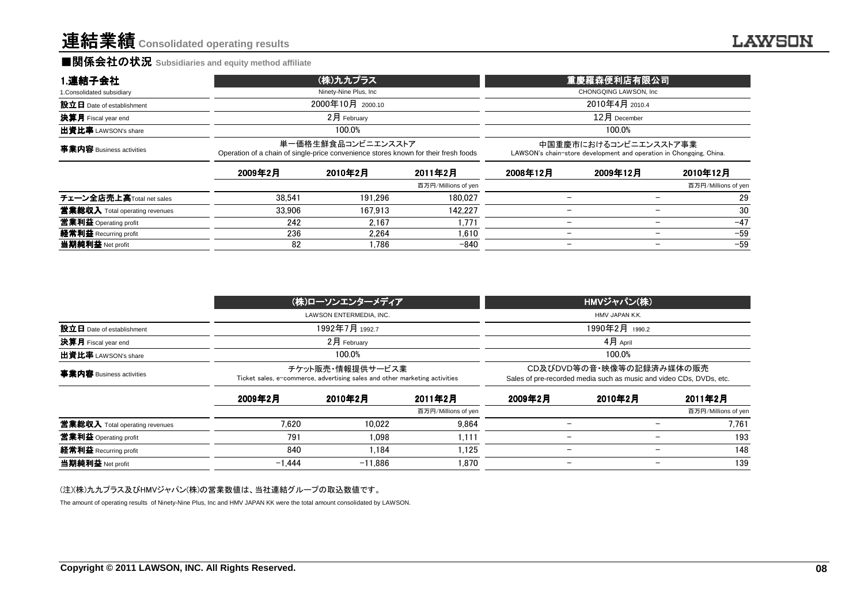### ■関係会社の状況 **Subsidiaries and equity method affiliate**

| 1.連結子会社                         | (株)九九プラス                                                                                                  | 重慶羅森便利店有限公司                                                                                  |
|---------------------------------|-----------------------------------------------------------------------------------------------------------|----------------------------------------------------------------------------------------------|
| 1. Consolidated subsidiary      | Ninety-Nine Plus, Inc                                                                                     | CHONGQING LAWSON, Inc                                                                        |
| 設立日 Date of establishment       | 2000年10月 2000.10                                                                                          | 2010年4月 2010.4                                                                               |
| <b>決算月</b> Fiscal year end      | 2月 Februarv                                                                                               | $12$ 月 December                                                                              |
| <b>出資比率</b> LAWSON's share      | 100.0%                                                                                                    | 100.0%                                                                                       |
| <b>事業内容</b> Business activities | 単一価格生鮮食品コンビニエンスストア<br>Operation of a chain of single-price convenience stores known for their fresh foods | 中国重慶市におけるコンビニエンスストア事業<br>LAWSON's chain-store development and operation in Chongqing, China. |

|                                                                                         | 2009年2月 | 2010年2月 | 2011年2月             | 2008年12月 | 2009年12月                 | 2010年12月                          |
|-----------------------------------------------------------------------------------------|---------|---------|---------------------|----------|--------------------------|-----------------------------------|
|                                                                                         |         |         | 百万円/Millions of yen |          |                          | 百万円/Millions of yen               |
| チェーン全店売上高Total net sales                                                                | 38.541  | 191.296 | 180.027             |          |                          | 29<br>$\overline{\phantom{0}}$    |
|                                                                                         | 33.906  | 167.913 | 142.227             |          | $\overline{\phantom{m}}$ | 30                                |
|                                                                                         | 242     | 2.167   | .771                | -        |                          | $-47$<br>$\overline{\phantom{0}}$ |
|                                                                                         | 236     | 2.264   | 1.610               |          |                          | $-59$<br>$\overline{\phantom{0}}$ |
| 当期純利益 Net profit                                                                        | 82      | .786    | $-840$              |          | $\overline{\phantom{m}}$ | $-59$                             |
| 當業総収入 Total operating revenues<br><b>営業利益</b> Operating profit<br>経常利益 Recurring profit |         |         |                     |          |                          |                                   |

|                                              | (株)ローソンエンターメディア                                                                                | HMVジャパン(株)                                                                                      |  |  |
|----------------------------------------------|------------------------------------------------------------------------------------------------|-------------------------------------------------------------------------------------------------|--|--|
|                                              | LAWSON ENTERMEDIA. INC.                                                                        | HMV JAPAN K.K.                                                                                  |  |  |
| 設立日 Date of establishment                    | 1992年7月 <sub>1992.7</sub>                                                                      | 1990年2月 1990.2                                                                                  |  |  |
| <b>決算月</b> Fiscal year end<br>$2$ 月 February |                                                                                                | 4月 April                                                                                        |  |  |
| 出資比率 LAWSON's share                          | 100.0%                                                                                         | 100.0%                                                                                          |  |  |
| 事業内容 Business activities                     | チケット販売・情報提供サービス業<br>Ticket sales, e-commerce, advertising sales and other marketing activities | CD及びDVD等の音・映像等の記録済み媒体の販売<br>Sales of pre-recorded media such as music and video CDs, DVDs, etc. |  |  |

|                                | 2009年2月  | 2010年2月   | 2011年2月             | 2009年2月 | 2010年2月                  | 2011年2月             |
|--------------------------------|----------|-----------|---------------------|---------|--------------------------|---------------------|
|                                |          |           | 百万円/Millions of yen |         |                          | 百万円/Millions of yen |
| 當業総収入 Total operating revenues | 7.620    | 10.022    | 9.864               |         |                          | 7.761               |
| 営業利益 Operating profit          | 791      | 1.098     | .111                |         | $\overline{\phantom{0}}$ | 193                 |
| 経常利益 Recurring profit          | 840      | .184      | . 125               |         |                          | 148                 |
| 当期純利益 Net profit               | $-1.444$ | $-11.886$ | .870،               |         | $\overline{\phantom{a}}$ | 139                 |

#### (注)(株)九九プラス及びHMVジャパン(株)の営業数値は、当社連結グループの取込数値です。

The amount of operating results of Ninety-Nine Plus, Inc and HMV JAPAN KK were the total amount consolidated by LAWSON.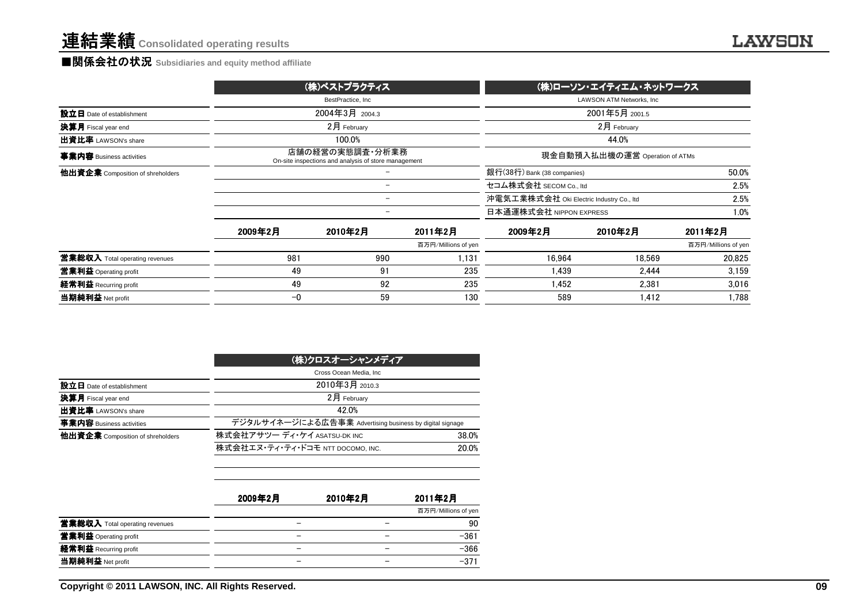### **■関係会社の状況** Subsidiaries and equity method affiliate

|                                  |         | (株)ベストプラクティス                                                            |                     | (株)ローソン・エイティエム・ネットワークス                   |                                  |                     |  |
|----------------------------------|---------|-------------------------------------------------------------------------|---------------------|------------------------------------------|----------------------------------|---------------------|--|
|                                  |         | BestPractice, Inc.                                                      |                     |                                          | <b>LAWSON ATM Networks, Inc.</b> |                     |  |
| 設立日 Date of establishment        |         | 2004年3月 2004.3                                                          |                     |                                          | 2001年5月 2001.5                   |                     |  |
| 決算月 Fiscal year end              |         | $2月$ February                                                           |                     |                                          | 2月 February                      |                     |  |
| 出資比率 LAWSON's share              |         | 100.0%                                                                  |                     |                                          | 44.0%                            |                     |  |
| 事業内容 Business activities         |         | 店舗の経営の実態調査・分析業務<br>On-site inspections and analysis of store management |                     |                                          | 現金自動預入払出機の運営 Operation of ATMs   |                     |  |
| 他出資企業 Composition of shreholders |         |                                                                         |                     | 銀行(38行) Bank (38 companies)              |                                  | 50.0%               |  |
|                                  |         | $\overline{\phantom{0}}$                                                |                     | セコム株式会社 SECOM Co., Itd                   | 2.5%                             |                     |  |
|                                  |         | $\overline{\phantom{0}}$                                                |                     | 沖電気工業株式会社 Oki Electric Industry Co., Itd | 2.5%                             |                     |  |
|                                  |         | $\overline{\phantom{m}}$                                                |                     | 日本通運株式会社 NIPPON EXPRESS                  |                                  |                     |  |
|                                  | 2009年2月 | 2010年2月                                                                 | 2011年2月             | 2009年2月                                  | 2010年2月                          | 2011年2月             |  |
|                                  |         |                                                                         | 百万円/Millions of yen |                                          |                                  | 百万円/Millions of yen |  |
| 営業総収入 Total operating revenues   | 981     | 990                                                                     | 1.131               | 16.964                                   | 18.569                           | 20,825              |  |
| 営業利益 Operating profit            | 49      | 91                                                                      | 235                 | 1.439                                    | 2.444                            | 3,159               |  |
| 経常利益 Recurring profit            | 49      | 92                                                                      | 235                 | 1.452                                    | 2.381                            | 3,016               |  |
| 当期純利益 Net profit                 | $-0$    | 59                                                                      | 130                 | 589                                      | 1.412                            | 1,788               |  |

|                                  | (株)クロスオーシャンメディア                                          |       |  |  |  |  |
|----------------------------------|----------------------------------------------------------|-------|--|--|--|--|
|                                  | Cross Ocean Media, Inc.                                  |       |  |  |  |  |
| 設立日 Date of establishment        | 2010年3月 2010.3                                           |       |  |  |  |  |
| 決算月 Fiscal year end              | $2$ 月 February                                           |       |  |  |  |  |
| 出資比率 LAWSON's share              | 42.0%                                                    |       |  |  |  |  |
| 事業内容 Business activities         | デジタルサイネージによる広告事業 Advertising business by digital signage |       |  |  |  |  |
| 他出資企業 Composition of shreholders | 株式会社アサツー ディ・ケイ ASATSU-DK INC                             | 38.0% |  |  |  |  |
|                                  | 株式会社エヌ・ティ・ティ・ドコモ NTT DOCOMO, INC.                        | 20.0% |  |  |  |  |

|                                | 2009年2月 | 2010年2月 | 2011年2月             |
|--------------------------------|---------|---------|---------------------|
|                                |         |         | 百万円/Millions of yen |
| 當業総収入 Total operating revenues |         |         | 90                  |
| 営業利益 Operating profit          |         |         | $-361$              |
| 経常利益 Recurring profit          |         |         | $-366$              |
| 当期純利益 Net profit               |         | –       | $-371$              |
|                                |         |         |                     |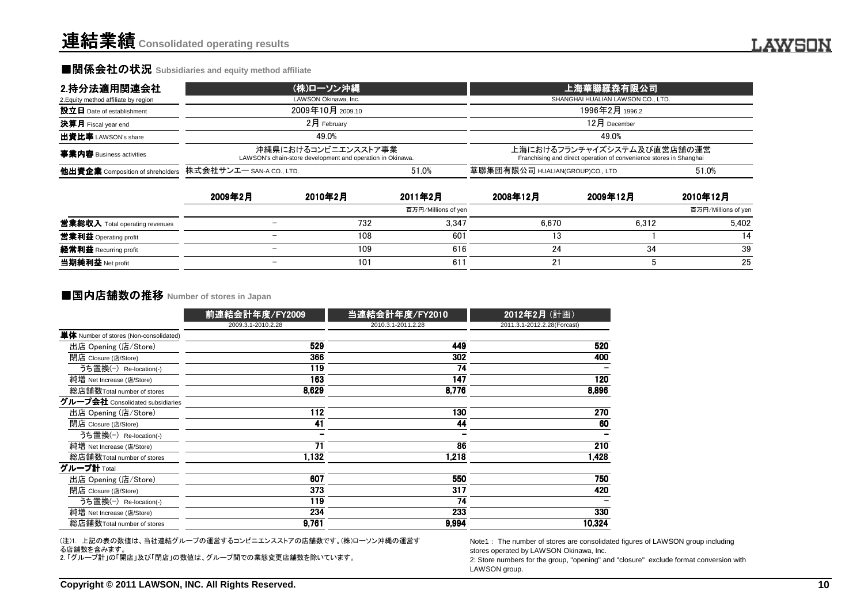### ■関係会社の状況 Subsidiaries and equity method affiliate

| 2.持分法適用関連会社                                               | (株)ローソン沖縄                                                                         |       | 上海華聯羅森有限公司                                                                                       |       |  |  |
|-----------------------------------------------------------|-----------------------------------------------------------------------------------|-------|--------------------------------------------------------------------------------------------------|-------|--|--|
| 2. Equity method affiliate by region                      | LAWSON Okinawa, Inc.                                                              |       | SHANGHAI HUALIAN LAWSON CO., LTD.                                                                |       |  |  |
| 設立日 Date of establishment                                 | 2009年10月 2009.10                                                                  |       | 1996年2月 1996.2                                                                                   |       |  |  |
| <b>決算月</b> Fiscal year end                                | 2月 February                                                                       |       | $12$ 月 December                                                                                  |       |  |  |
| 出資比率 LAWSON's share                                       | 49.0%                                                                             |       | 49.0%                                                                                            |       |  |  |
| 事業内容 Business activities                                  | 沖縄県におけるコンビニエンスストア事業<br>LAWSON's chain-store development and operation in Okinawa. |       | 上海におけるフランチャイズシステム及び直営店舗の運営<br>Franchising and direct operation of convenience stores in Shanghai |       |  |  |
| 他出資企業 Composition of shreholders 株式会社サンエー SAN-A CO., LTD. |                                                                                   | 51.0% | 華聯集団有限公司 HUALIAN(GROUP)CO., LTD                                                                  | 51.0% |  |  |

|                                       | 2009年2月                  | 2010年2月 | 2011年2月             | 2008年12月 | 2009年12月 | 2010年12月            |
|---------------------------------------|--------------------------|---------|---------------------|----------|----------|---------------------|
|                                       |                          |         | 百万円/Millions of yen |          |          | 百万円/Millions of yen |
| <b>営業総収入</b> Total operating revenues |                          | 732     | 3,347               | 6.670    | 6.312    | 5.402               |
| 営業利益 Operating profit                 | $\overline{\phantom{a}}$ | 108     | 601                 |          |          | 14                  |
| 経常利益 Recurring profit                 | $\overline{\phantom{m}}$ | 109     | 616                 |          | 34       | 39                  |
| 当期純利益 Net profit                      | $\overline{\phantom{a}}$ | 101     | 611                 |          |          | 25                  |

### **■国内店舗数の推移 Number of stores in Japan**

| 单体 Number of stores (Non-consolidated)<br>出店 Opening (店/Store)<br>閉店 Closure (店/Store)<br>うち置換(-) Re-location(-)<br>純増 Net Increase (店/Store)<br>総店舗数Total number of stores<br>グループ会社 Consolidated subsidiaries<br>出店 Opening (店/Store)<br>閉店 Closure (店/Store)<br>うち置換(-) Re-location(-)<br>純増 Net Increase (店/Store)<br>総店舗数Total number of stores<br>グループ計 Total | 前連結会計年度/FY2009<br>2009.3.1-2010.2.28<br>529<br>366<br>119<br>163<br>8,629<br>112<br>41<br>71 | 当連結会計年度/FY2010<br>2010.3.1-2011.2.28<br>449<br>302<br>74<br>147<br>8,776<br>130<br>44<br>86 | 2012年2月 (計画)<br>2011.3.1-2012.2.28(Forcast)<br>520<br>400<br>120<br>8,896<br>270<br>60                                                                                                                                               |  |
|---------------------------------------------------------------------------------------------------------------------------------------------------------------------------------------------------------------------------------------------------------------------------------------------------------------------------------------------------------------------|----------------------------------------------------------------------------------------------|---------------------------------------------------------------------------------------------|--------------------------------------------------------------------------------------------------------------------------------------------------------------------------------------------------------------------------------------|--|
|                                                                                                                                                                                                                                                                                                                                                                     |                                                                                              |                                                                                             |                                                                                                                                                                                                                                      |  |
|                                                                                                                                                                                                                                                                                                                                                                     |                                                                                              |                                                                                             |                                                                                                                                                                                                                                      |  |
|                                                                                                                                                                                                                                                                                                                                                                     |                                                                                              |                                                                                             |                                                                                                                                                                                                                                      |  |
|                                                                                                                                                                                                                                                                                                                                                                     |                                                                                              |                                                                                             |                                                                                                                                                                                                                                      |  |
|                                                                                                                                                                                                                                                                                                                                                                     |                                                                                              |                                                                                             |                                                                                                                                                                                                                                      |  |
|                                                                                                                                                                                                                                                                                                                                                                     |                                                                                              |                                                                                             |                                                                                                                                                                                                                                      |  |
|                                                                                                                                                                                                                                                                                                                                                                     |                                                                                              |                                                                                             |                                                                                                                                                                                                                                      |  |
|                                                                                                                                                                                                                                                                                                                                                                     |                                                                                              |                                                                                             |                                                                                                                                                                                                                                      |  |
|                                                                                                                                                                                                                                                                                                                                                                     |                                                                                              |                                                                                             |                                                                                                                                                                                                                                      |  |
|                                                                                                                                                                                                                                                                                                                                                                     |                                                                                              |                                                                                             |                                                                                                                                                                                                                                      |  |
|                                                                                                                                                                                                                                                                                                                                                                     |                                                                                              |                                                                                             |                                                                                                                                                                                                                                      |  |
|                                                                                                                                                                                                                                                                                                                                                                     |                                                                                              |                                                                                             | 210                                                                                                                                                                                                                                  |  |
|                                                                                                                                                                                                                                                                                                                                                                     | 1,132                                                                                        | 1,218                                                                                       | 1,428                                                                                                                                                                                                                                |  |
|                                                                                                                                                                                                                                                                                                                                                                     |                                                                                              |                                                                                             |                                                                                                                                                                                                                                      |  |
| 出店 Opening (店/Store)                                                                                                                                                                                                                                                                                                                                                | 607                                                                                          | 550                                                                                         | 750                                                                                                                                                                                                                                  |  |
| 閉店 Closure (店/Store)                                                                                                                                                                                                                                                                                                                                                | 373                                                                                          | 317                                                                                         | 420                                                                                                                                                                                                                                  |  |
| うち置換(-) Re-location(-)                                                                                                                                                                                                                                                                                                                                              | 119                                                                                          | 74                                                                                          |                                                                                                                                                                                                                                      |  |
| 純増 Net Increase (店/Store)                                                                                                                                                                                                                                                                                                                                           | 234                                                                                          | 233                                                                                         | 330                                                                                                                                                                                                                                  |  |
| 総店舗数Total number of stores                                                                                                                                                                                                                                                                                                                                          | 9,761                                                                                        | 9,994                                                                                       | 10,324                                                                                                                                                                                                                               |  |
| (注)1. 上記の表の数値は、当社連結グループの運営するコンビニエンスストアの店舗数です。(株)ローソン沖縄の運営す<br>る店舗数を含みます。<br>2.「グループ計」の「開店」及び「閉店」の数値は、グループ間での業態変更店舗数を除いています。                                                                                                                                                                                                                                         |                                                                                              |                                                                                             | Note1: The number of stores are consolidated figures of LAWSON group including<br>stores operated by LAWSON Okinawa, Inc.<br>2: Store numbers for the group, "opening" and "closure" exclude format conversion with<br>LAWSON group. |  |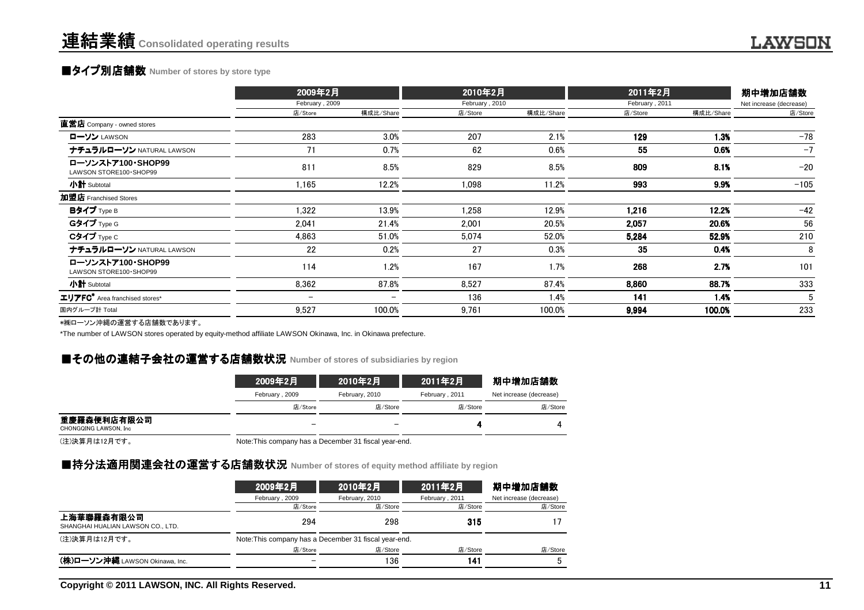# **■タイプ別店舗数** Number of stores by store type

|                                               | 2009年2月<br>February, 2009 |           | 2010年2月<br>February, 2010 |           | 2011年2月        | 期中増加店舗数   |                         |
|-----------------------------------------------|---------------------------|-----------|---------------------------|-----------|----------------|-----------|-------------------------|
|                                               |                           |           |                           |           | February, 2011 |           | Net increase (decrease) |
|                                               | 店/Store                   | 構成比/Share | 店/Store                   | 構成比/Share | 店/Store        | 構成比/Share | 店/Store                 |
| 直営店 Company - owned stores                    |                           |           |                           |           |                |           |                         |
| ローソン LAWSON                                   | 283                       | 3.0%      | 207                       | 2.1%      | 129            | 1.3%      | $-78$                   |
| ナチュラルローソン NATURAL LAWSON                      | 71                        | 0.7%      | 62                        | 0.6%      | 55             | 0.6%      | $-7$                    |
| ローソンストア100·SHOP99<br>LAWSON STORE100 · SHOP99 | 811                       | 8.5%      | 829                       | 8.5%      | 809            | 8.1%      | $-20$                   |
| 小計 Subtotal                                   | 1,165                     | 12.2%     | 1,098                     | 11.2%     | 993            | 9.9%      | $-105$                  |
| 加盟店 Franchised Stores                         |                           |           |                           |           |                |           |                         |
| Bタイプ Type B                                   | 1,322                     | 13.9%     | 1,258                     | 12.9%     | 1,216          | 12.2%     | $-42$                   |
| Gタイプ Type G                                   | 2,041                     | 21.4%     | 2.001                     | 20.5%     | 2,057          | 20.6%     | 56                      |
| $C$ タイプ $Type C$                              | 4,863                     | 51.0%     | 5,074                     | 52.0%     | 5,284          | 52.9%     | 210                     |
| ナチュラルローソン NATURAL LAWSON                      | 22                        | 0.2%      | 27                        | 0.3%      | 35             | 0.4%      | 8                       |
| ローソンストア100·SHOP99<br>LAWSON STORE100 · SHOP99 | 114                       | 1.2%      | 167                       | 1.7%      | 268            | 2.7%      | 101                     |
| 小計 Subtotal                                   | 8,362                     | 87.8%     | 8,527                     | 87.4%     | 8,860          | 88.7%     | 333                     |
| エリアFC <sup>*</sup> Area franchised stores*    | $\overline{\phantom{m}}$  |           | 136                       | 1.4%      | 141            | 1.4%      | 5                       |
| 国内グループ計 Total                                 | 9,527                     | 100.0%    | 9,761                     | 100.0%    | 9,994          | 100.0%    | 233                     |
| ⇒他ローいい☆市場の電学士で広端数本セリキナ                        |                           |           |                           |           |                |           |                         |

\*㈱ローソン沖縄の運営する店舗数であります。

\*The number of LAWSON stores operated by equity-method affiliate LAWSON Okinawa, Inc. in Okinawa prefecture.

# **■その他の連結子会社の運営する店舗数状況** Number of stores of subsidiaries by region<br>→

|                                       | 2009年2月        | 2010年2月        | 2011年2月        | 期中増加店舗数                 |  |
|---------------------------------------|----------------|----------------|----------------|-------------------------|--|
|                                       | February, 2009 | February, 2010 | February, 2011 | Net increase (decrease) |  |
|                                       | 店/Store        | 店/Store        | 店/Store        | 店/Store                 |  |
| 重慶羅森便利店有限公司<br>CHONGQING LAWSON, Inc. |                |                |                |                         |  |

(注)決算月は12月です。

Note:This company has a December 31 fiscal year-end.

# ■持分法適用関連会社の運営する店舗数状況 Number of stores of equity method affiliate by region<br>→

| 2009年2月        | 2010年2月        | 2011年2月        | 期中増加店舗数                                               |
|----------------|----------------|----------------|-------------------------------------------------------|
| February, 2009 | February, 2010 | February, 2011 | Net increase (decrease)                               |
| 店/Store        | 店/Store        | 店/Store        | 店/Store                                               |
| 294            | 298            | 315            |                                                       |
|                |                |                |                                                       |
| 店/Store        | 店/Store        | 店/Store        | 店/Store                                               |
|                | 136            | 141            |                                                       |
|                |                |                | Note: This company has a December 31 fiscal year-end. |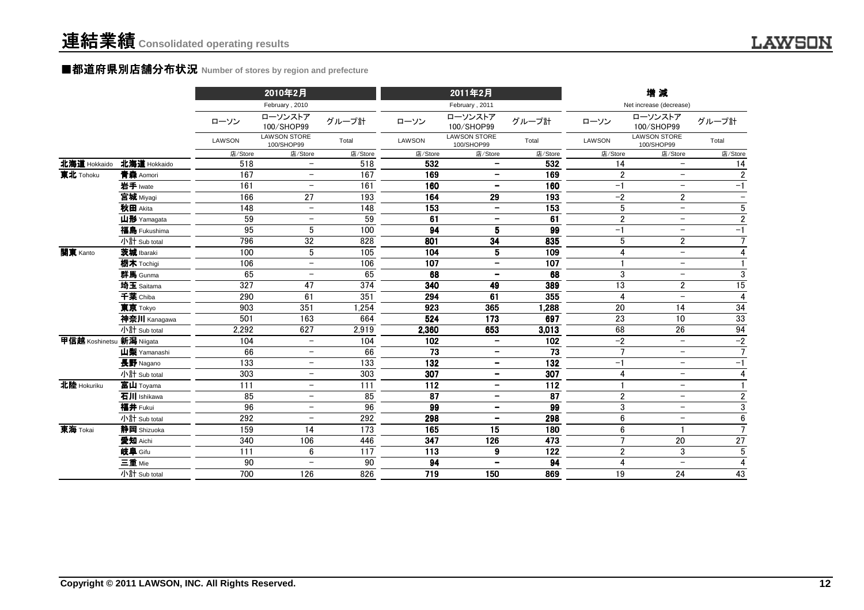### ■都道府県別店舗分布状況 Number of stores by region and prefecture

|                           |              |               | 2010年2月                           |                  |                 | 2011年2月                           |                 |                | 増減                                |                          |
|---------------------------|--------------|---------------|-----------------------------------|------------------|-----------------|-----------------------------------|-----------------|----------------|-----------------------------------|--------------------------|
|                           |              |               | February, 2010                    |                  |                 | February, 2011                    |                 |                | Net increase (decrease)           |                          |
|                           |              | ローソン          | ローソンストア<br>100/SHOP99             | グループ計            | ローソン            | ローソンストア<br>100/SHOP99             | グループ計           | ローソン           | ローソンストア<br>100/SHOP99             | グループ計                    |
|                           |              | <b>LAWSON</b> | <b>LAWSON STORE</b><br>100/SHOP99 | Total            | LAWSON          | <b>LAWSON STORE</b><br>100/SHOP99 | Total           | LAWSON         | <b>LAWSON STORE</b><br>100/SHOP99 | Total                    |
|                           |              | 店/Store       | 店/Store                           | 店/Store          | 店/Store         | 店/Store                           | 店/Store         | 店/Store        | 店/Store                           | 店/Store                  |
| 北海道 Hokkaido              | 北海道 Hokkaido | 518           | $\overline{\phantom{0}}$          | 518              | 532             | $\qquad \qquad -$                 | 532             | 14             | $\overline{\phantom{0}}$          | 14                       |
| 東北 Tohoku                 | 青森 Aomori    | 167           | $\overline{\phantom{a}}$          | 167              | 169             | $\qquad \qquad -$                 | 169             | $\overline{2}$ | $\overline{\phantom{0}}$          | $\overline{2}$           |
|                           | 岩手 Iwate     | 161           | $\qquad \qquad -$                 | 161              | 160             | $\overline{\phantom{a}}$          | 160             | $-1$           | $\overline{\phantom{m}}$          | $-1$                     |
|                           | 宮城 Miyagi    | 166           | 27                                | 193              | 164             | 29                                | 193             | $-2$           | $\mathbf{2}$                      | $\overline{\phantom{a}}$ |
|                           | 秋田 Akita     | 148           | $\overline{\phantom{m}}$          | 148              | 153             | $\overline{\phantom{m}}$          | 153             | $5\,$          | $\overline{\phantom{a}}$          | 5                        |
|                           | 山形 Yamagata  | 59            | $\qquad \qquad -$                 | 59               | 61              | $\overline{\phantom{m}}$          | 61              | $\overline{2}$ | $\overline{\phantom{m}}$          | $\overline{2}$           |
|                           | 福島 Fukushima | 95            | 5                                 | 100              | 94              | 5                                 | 99              | $-1$           |                                   | $-1$                     |
|                           | 小計 Sub total | 796           | 32                                | 828              | 801             | 34                                | 835             | 5              | $\overline{\mathbf{c}}$           | $\overline{7}$           |
| 関東 Kanto                  | 茨城 Ibaraki   | 100           | 5                                 | 105              | 104             | 5                                 | 109             | $\overline{4}$ | $\overline{\phantom{m}}$          | $\overline{4}$           |
|                           | 栃木 Tochigi   | 106           | $\overline{\phantom{m}}$          | 106              | 107             | $\overline{\phantom{a}}$          | 107             |                | $\overline{\phantom{m}}$          | $\mathbf{1}$             |
|                           | 群馬 Gunma     | 65            | $\overline{\phantom{a}}$          | 65               | 68              | $\overline{\phantom{a}}$          | 68              | 3              | $\overline{\phantom{a}}$          | $\sqrt{3}$               |
|                           | 埼玉 Saitama   | 327           | 47                                | 374              | 340             | 49                                | 389             | 13             | $\overline{2}$                    | $\overline{15}$          |
|                           | 千葉 Chiba     | 290           | 61                                | 351              | 294             | 61                                | 355             | 4              | $\overline{\phantom{a}}$          | $\overline{4}$           |
|                           | 東京 Tokyo     | 903           | 351                               | 1,254            | 923             | 365                               | 1,288           | 20             | 14                                | 34                       |
|                           | 神奈川 Kanagawa | 501           | 163                               | 664              | 524             | 173                               | 697             | 23             | 10                                | $33\,$                   |
|                           | 小計 Sub total | 2,292         | 627                               | 2,919            | 2,360           | 653                               | 3,013           | 68             | 26                                | 94                       |
| 甲信越 Koshinetsu 新潟 Niigata |              | 104           | $\overline{\phantom{0}}$          | 104              | 102             | $\qquad \qquad \blacksquare$      | 102             | $-2$           | $\equiv$                          | $-2$                     |
|                           | 山梨 Yamanashi | 66            | $\overline{\phantom{a}}$          | 66               | 73              | $\overline{\phantom{a}}$          | 73              | $\overline{7}$ | $\overline{\phantom{0}}$          | $\overline{7}$           |
|                           | 長野 Nagano    | 133           | $\overline{\phantom{a}}$          | 133              | 132             | $\overline{\phantom{a}}$          | 132             | $-1$           | $\overline{\phantom{m}}$          | $-1$                     |
|                           | 小計 Sub total | 303           | $\overline{\phantom{m}}$          | 303              | 307             | $\overline{\phantom{a}}$          | 307             | 4              | $\overline{\phantom{0}}$          | $\overline{4}$           |
| 北陸 Hokuriku               | 富山 Toyama    | 111           | $\overline{\phantom{m}}$          | $\overline{111}$ | $\frac{1}{112}$ | $\qquad \qquad -$                 | $\frac{1}{112}$ |                | $\overline{\phantom{m}}$          |                          |
|                           | 石川 Ishikawa  | 85            | $\overline{\phantom{m}}$          | 85               | 87              | $\overline{\phantom{m}}$          | 87              | $\overline{2}$ | $\overline{\phantom{m}}$          | $\boldsymbol{2}$         |
|                           | 福井 Fukui     | 96            | $\overline{\phantom{m}}$          | 96               | 99              | $\overline{\phantom{a}}$          | 99              | 3              | $\overline{\phantom{m}}$          | $\overline{3}$           |
|                           | 小計 Sub total | 292           | $\overline{\phantom{m}}$          | 292              | 298             | $\overline{\phantom{a}}$          | 298             | $6\phantom{1}$ | $\overline{\phantom{m}}$          | $\overline{6}$           |
| 東海 Tokai                  | 静岡 Shizuoka  | 159           | 14                                | 173              | 165             | 15                                | 180             | 6              |                                   | $\overline{7}$           |
|                           | 愛知 Aichi     | 340           | 106                               | 446              | 347             | 126                               | 473             | $\overline{7}$ | 20                                | 27                       |
|                           | 岐阜 Gifu      | 111           | 6                                 | 117              | 113             | 9                                 | 122             | $\overline{2}$ | 3                                 | $\sqrt{5}$               |
|                           | 三重 Mie       | 90            | $\overline{\phantom{m}}$          | 90               | 94              | $\overline{\phantom{a}}$          | 94              | 4              | $\overline{\phantom{a}}$          | $\overline{4}$           |
|                           | 小計 Sub total | 700           | 126                               | 826              | 719             | 150                               | 869             | 19             | 24                                | 43                       |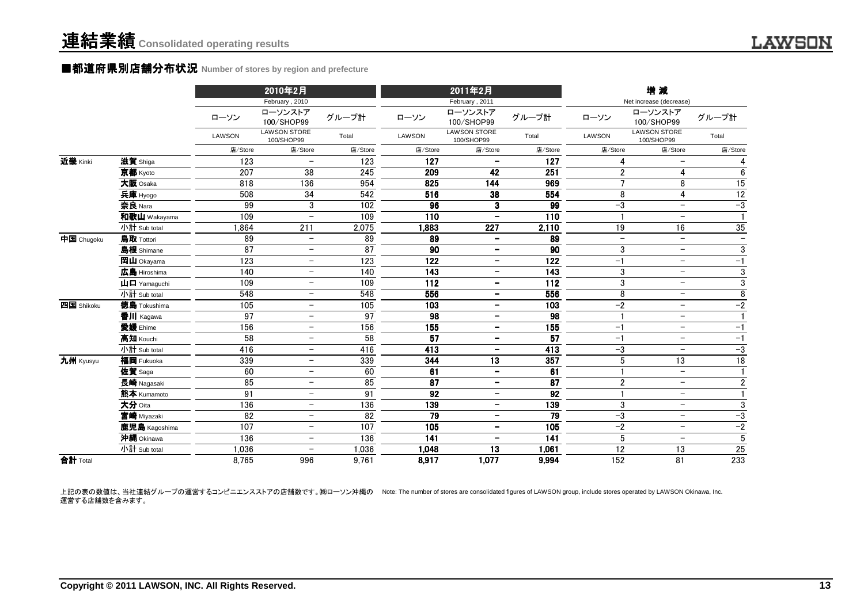### ■都道府県別店舗分布状況 **Number of stores by region and prefecture**

|            |                                                           |               | 2010年2月<br>February, 2010         |         |         | 2011年2月<br>February, 2011         |                 |                          | 増減<br>Net increase (decrease)     |                          |
|------------|-----------------------------------------------------------|---------------|-----------------------------------|---------|---------|-----------------------------------|-----------------|--------------------------|-----------------------------------|--------------------------|
|            |                                                           | ローソン          | ローソンストア<br>100/SHOP99             | グループ計   | ローソン    | ローソンストア<br>100/SHOP99             | グループ計           | ローソン                     | ローソンストア<br>100/SHOP99             | グループ計                    |
|            |                                                           | <b>LAWSON</b> | <b>LAWSON STORE</b><br>100/SHOP99 | Total   | LAWSON  | <b>LAWSON STORE</b><br>100/SHOP99 | Total           | LAWSON                   | <b>LAWSON STORE</b><br>100/SHOP99 | Total                    |
|            |                                                           | 店/Store       | 店/Store                           | 店/Store | 店/Store | 店/Store                           | 店/Store         | 店/Store                  | 店/Store                           | 店/Store                  |
| 近畿 Kinki   | 滋賀 Shiga                                                  | 123           |                                   | 123     | 127     |                                   | 127             | 4                        | $\overline{\phantom{m}}$          | 4                        |
|            | 京都 Kyoto                                                  | 207           | 38                                | 245     | 209     | 42                                | 251             | $\overline{2}$           | 4                                 | $6\phantom{.}$           |
|            | 大阪 Osaka                                                  | 818           | 136                               | 954     | 825     | 144                               | 969             | $\overline{7}$           | 8                                 | 15                       |
|            | 兵庫 Hyogo                                                  | 508           | 34                                | 542     | 516     | 38                                | 554             | 8                        | $\overline{4}$                    | 12                       |
|            | 奈良 Nara                                                   | 99            | 3                                 | 102     | 96      | 3                                 | 99              | $-3$                     | $\overline{\phantom{0}}$          | $-3$                     |
|            | 和歌山 Wakayama                                              | 109           | $\overline{a}$                    | 109     | 110     | $\qquad \qquad -$                 | 110             |                          | $\overline{\phantom{0}}$          |                          |
|            | 小計 Sub total                                              | .864          | 211                               | 2,075   | 1,883   | 227                               | 2,110           | 19                       | 16                                | 35                       |
| 中国 Chugoku | 鳥取 Tottori                                                | 89            | $\overline{\phantom{a}}$          | 89      | 89      | $\overline{\phantom{a}}$          | 89              | $\overline{\phantom{0}}$ | $\overline{\phantom{m}}$          | $\overline{\phantom{0}}$ |
|            | 島根 Shimane                                                | 87            | $\overline{\phantom{0}}$          | 87      | 90      | $\qquad \qquad -$                 | 90              | 3                        | $\overline{\phantom{m}}$          | $\mathbf{3}$             |
|            | 岡山 Okayama                                                | 123           | $\qquad \qquad -$                 | 123     | 122     | $\qquad \qquad -$                 | 122             | $-1$                     | $\overline{\phantom{m}}$          | $-1$                     |
|            | 広島 Hiroshima                                              | 140           | $\qquad \qquad -$                 | 140     | 143     | $\overline{\phantom{a}}$          | 143             | $\sqrt{3}$               | $\overline{\phantom{m}}$          | $\overline{3}$           |
|            | $\mathbf{\mathbf{\mu}}$ $\mathbf{\mathbf{\Pi}}$ Yamaguchi | 109           | $\overline{\phantom{0}}$          | 109     | 112     | $\overline{\phantom{a}}$          | 112             | $\sqrt{3}$               | $\overline{\phantom{0}}$          | $\overline{3}$           |
|            | 小計 Sub total                                              | 548           | $\qquad \qquad -$                 | 548     | 556     | $\overline{\phantom{a}}$          | 556             | 8                        | $\overline{\phantom{m}}$          | 8                        |
| 四国 Shikoku | 徳島 Tokushima                                              | 105           | $\overline{\phantom{0}}$          | 105     | 103     | $\overline{\phantom{a}}$          | 103             | $-2$                     | $\overline{\phantom{0}}$          | $-2$                     |
|            | 香川 Kagawa                                                 | 97            | $\overline{\phantom{0}}$          | 97      | 98      | $\overline{\phantom{m}}$          | 98              |                          | $-$                               |                          |
|            | 愛媛 Ehime                                                  | 156           |                                   | 156     | 155     | $\overline{\phantom{m}}$          | 155             | $-1$                     | $\overline{\phantom{a}}$          | $-1$                     |
|            | 高知 Kouchi                                                 | 58            |                                   | 58      | 57      | $\qquad \qquad \blacksquare$      | 57              | $-1$                     | $\overline{\phantom{m}}$          | $-1$                     |
|            | 小計 Sub total                                              | 416           | $\qquad \qquad -$                 | 416     | 413     | $\overline{\phantom{a}}$          | 413             | $-3$                     | $\overline{\phantom{m}}$          | $-3$                     |
| 九州 Kyusyu  | 福岡 Fukuoka                                                | 339           | $\qquad \qquad -$                 | 339     | 344     | 13                                | 357             | 5                        | 13                                | $\overline{18}$          |
|            | 佐賀 Saga                                                   | 60            | $\overline{\phantom{0}}$          | 60      | 61      | $\overline{\phantom{a}}$          | 61              |                          | $\overline{\phantom{0}}$          | $\mathbf{1}$             |
|            | 長崎 Nagasaki                                               | 85            | $\qquad \qquad -$                 | 85      | 87      | $\overline{\phantom{a}}$          | $\overline{87}$ | $\overline{2}$           | $\overline{\phantom{0}}$          | $\overline{2}$           |
|            | 熊本 Kumamoto                                               | 91            | $\overline{\phantom{0}}$          | 91      | 92      | $\qquad \qquad$                   | 92              |                          | $-$                               | $\mathbf{1}$             |
|            | 大分 Oita                                                   | 136           | $\qquad \qquad -$                 | 136     | 139     | $\overline{\phantom{m}}$          | 139             | 3                        | $\overline{\phantom{m}}$          | $\mathbf{3}$             |
|            | 宮崎 Miyazaki                                               | 82            | $\qquad \qquad -$                 | 82      | 79      | $\overline{\phantom{a}}$          | 79              | $-3$                     | $\overline{\phantom{m}}$          | $-3$                     |
|            | 鹿児島 Kagoshima                                             | 107           |                                   | 107     | 105     | $\qquad \qquad -$                 | 105             | $-2$                     | $\overline{\phantom{m}}$          | $-2$                     |
|            | 沖縄 Okinawa                                                | 136           | $\overline{\phantom{0}}$          | 136     | 141     |                                   | 141             | $5\phantom{.0}$          |                                   | $\overline{5}$           |
|            | 小計 Sub total                                              | 1,036         | $\overline{\phantom{m}}$          | 1,036   | 1,048   | 13                                | 1,061           | $\overline{12}$          | 13                                | 25                       |
| 合計 Total   |                                                           | 8,765         | 996                               | 9,761   | 8,917   | 1,077                             | 9,994           | 152                      | 81                                | 233                      |

上記の表の数値は、当社連結グループの運営するコンビニエンスストアの店舗数です。㈱ローソン沖縄の Note: The number of stores are consolidated figures of LAWSON group, include stores operated by LAWSON Okinawa, Inc. 運営する店舗数を含みます。

**LAWSON**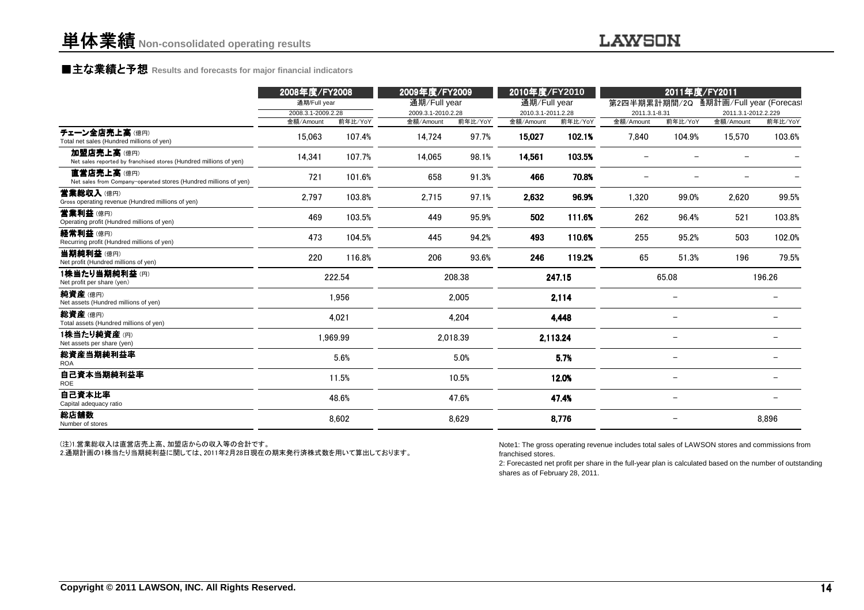### **LAWSON**

# **■主な業績と予想** Results and forecasts for major financial indicators<br>
————————————————————

|                                                                                 | 2008年度/FY2008<br>通期/Full year |                   | 2009年度/FY2009<br>通期/Full year |                  | 2010年度/FY2010<br>通期/Full year |                   |                    | 2011年度/FY2011     | 第2四半期累計期間/2Q 通期計画/Full year (Forecas) |                   |
|---------------------------------------------------------------------------------|-------------------------------|-------------------|-------------------------------|------------------|-------------------------------|-------------------|--------------------|-------------------|---------------------------------------|-------------------|
|                                                                                 | 2008.3.1-2009.2.28            |                   | 2009.3.1-2010.2.28            |                  | 2010.3.1-2011.2.28            |                   | 2011.3.1-8.31      |                   | 2011.3.1-2012.2.229                   |                   |
| チェーン全店売上高(億円)<br>Total net sales (Hundred millions of yen)                      | 金額/Amount<br>15,063           | 前年比/YoY<br>107.4% | 金額/Amount<br>14,724           | 前年比/YoY<br>97.7% | 金額/Amount<br>15,027           | 前年比/YoY<br>102.1% | 金額/Amount<br>7,840 | 前年比/YoY<br>104.9% | 金額/Amount<br>15,570                   | 前年比/YoY<br>103.6% |
| 加盟店売上高(億円)<br>Net sales reported by franchised stores (Hundred millions of yen) | 14,341                        | 107.7%            | 14,065                        | 98.1%            | 14,561                        | 103.5%            |                    |                   |                                       |                   |
| 直営店売上高(億円)<br>Net sales from Company-operated stores (Hundred millions of yen)  | 721                           | 101.6%            | 658                           | 91.3%            | 466                           | 70.8%             |                    |                   |                                       |                   |
| 营業総収入(億円)<br>Gross operating revenue (Hundred millions of yen)                  | 2,797                         | 103.8%            | 2,715                         | 97.1%            | 2,632                         | 96.9%             | 1,320              | 99.0%             | 2,620                                 | 99.5%             |
| 営業利益(億円)<br>Operating profit (Hundred millions of yen)                          | 469                           | 103.5%            | 449                           | 95.9%            | 502                           | 111.6%            | 262                | 96.4%             | 521                                   | 103.8%            |
| 経常利益(億円)<br>Recurring profit (Hundred millions of yen)                          | 473                           | 104.5%            | 445                           | 94.2%            | 493                           | 110.6%            | 255                | 95.2%             | 503                                   | 102.0%            |
| 当期純利益(億円)<br>Net profit (Hundred millions of yen)                               | 220                           | 116.8%            | 206                           | 93.6%            | 246                           | 119.2%            | 65                 | 51.3%             | 196                                   | 79.5%             |
| 1株当たり当期純利益(円)<br>Net profit per share (yen)                                     |                               | 222.54            |                               | 208.38           |                               | 247.15            |                    | 65.08             |                                       | 196.26            |
| 純資産(億円)<br>Net assets (Hundred millions of yen)                                 |                               | 1,956             |                               | 2,005            |                               | 2,114             |                    |                   |                                       |                   |
| 総資産(億円)<br>Total assets (Hundred millions of yen)                               |                               | 4,021             |                               | 4,204            |                               | 4,448             |                    |                   |                                       |                   |
| 1株当たり純資産(円)<br>Net assets per share (yen)                                       |                               | 1.969.99          |                               | 2.018.39         |                               | 2,113.24          |                    |                   |                                       |                   |
| 総資産当期純利益率<br><b>ROA</b>                                                         |                               | 5.6%              |                               | 5.0%             |                               | 5.7%              |                    |                   |                                       |                   |
| 自己資本当期純利益率<br><b>ROE</b>                                                        |                               | 11.5%             |                               | 10.5%            |                               | 12.0%             |                    |                   |                                       |                   |
| 自己資本比率<br>Capital adequacy ratio                                                |                               | 48.6%             |                               | 47.6%            |                               | 47.4%             |                    |                   |                                       |                   |
| 総店舗数<br>Number of stores                                                        |                               | 8,602             |                               | 8,629            |                               | 8,776             |                    |                   |                                       | 8,896             |

(注)1.営業総収入は直営店売上高、加盟店からの収入等の合計です。

2.通期計画の1株当たり当期純利益に関しては、2011年2月28日現在の期末発行済株式数を用いて算出しております。

Note1: The gross operating revenue includes total sales of LAWSON stores and commissions fromfranchised stores.

 2: Forecasted net profit per share in the full-year plan is calculated based on the number of outstandingshares as of February 28, 2011.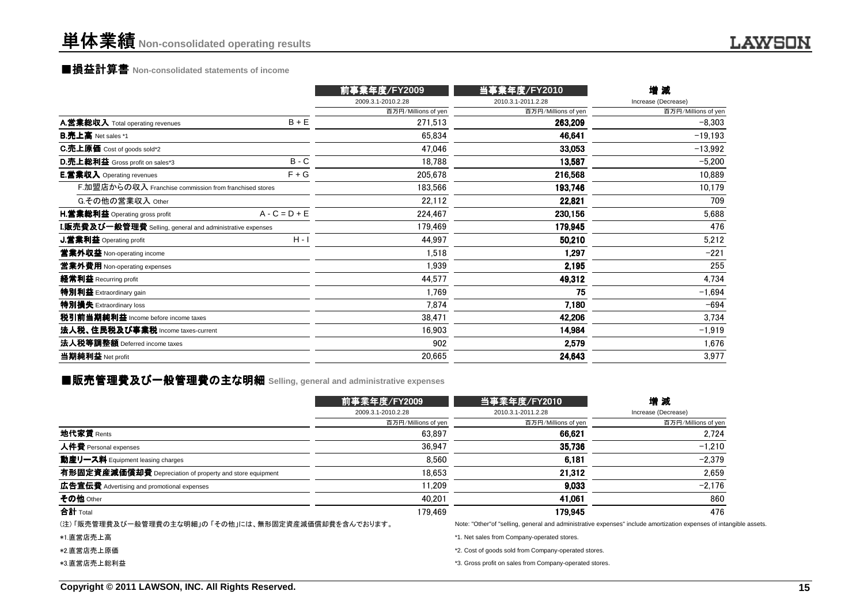# 単体業績**Non-consolidated operating results**

# ■損益計算書 **Non-consolidated statements of income**

|                                                                  | 前事業年度/FY2009        | 当事業年度/FY2010        | 增減                  |
|------------------------------------------------------------------|---------------------|---------------------|---------------------|
|                                                                  | 2009.3.1-2010.2.28  | 2010.3.1-2011.2.28  | Increase (Decrease) |
|                                                                  | 百万円/Millions of yen | 百万円/Millions of yen | 百万円/Millions of yen |
| $B + E$<br>A.営業総収入 Total operating revenues                      | 271,513             | 263,209             | $-8,303$            |
| <b>B.売上高</b> Net sales *1                                        | 65,834              | 46,641              | $-19,193$           |
| <b>C.売上原価</b> Cost of goods sold*2                               | 47,046              | 33,053              | $-13,992$           |
| $B - C$<br><b>D.売上総利益</b> Gross profit on sales*3                | 18,788              | 13,587              | $-5,200$            |
| $F + G$<br><b>E.営業収入</b> Operating revenues                      | 205,678             | 216,568             | 10,889              |
| F.加盟店からの収入 Franchise commission from franchised stores           | 183,566             | 193,746             | 10,179              |
| G.その他の営業収入 Other                                                 | 22,112              | 22,821              | 709                 |
| $A - C = D + E$<br><b>H.営業総利益</b> Operating gross profit         | 224,467             | 230,156             | 5,688               |
| <b>I.販売費及び一般管理費</b> Selling, general and administrative expenses | 179.469             | 179,945             | 476                 |
| $H - I$<br>J.営業利益 Operating profit                               | 44,997              | 50,210              | 5,212               |
| 営業外収益 Non-operating income                                       | 1,518               | 1,297               | $-221$              |
| 営業外費用 Non-operating expenses                                     | 1,939               | 2,195               | 255                 |
| 経常利益 Recurring profit                                            | 44,577              | 49,312              | 4,734               |
| 特別利益 Extraordinary gain                                          | 1,769               | 75                  | $-1,694$            |
| 特別損失 Extraordinary loss                                          | 7.874               | 7,180               | $-694$              |
| 税引前当期純利益 Income before income taxes                              | 38,471              | 42,206              | 3,734               |
| 法人税、住民税及び事業税 Income taxes-current                                | 16,903              | 14,984              | $-1,919$            |
| 法人税等調整額 Deferred income taxes                                    | 902                 | 2,579               | 1,676               |
| 当期純利益 Net profit                                                 | 20,665              | 24,643              | 3,977               |

# ■販売管理費及び一般管理費の主な明細 Selling, general and administrative expenses<br>-

|                                                          | 前事業年度/FY2009        | 当事業年度/FY2010                                                                                         | 増減<br>Increase (Decrease) |  |
|----------------------------------------------------------|---------------------|------------------------------------------------------------------------------------------------------|---------------------------|--|
|                                                          | 2009.3.1-2010.2.28  | 2010.3.1-2011.2.28                                                                                   |                           |  |
|                                                          | 百万円/Millions of yen | 百万円/Millions of yen                                                                                  | 百万円/Millions of yen       |  |
| 地代家賃 Rents                                               | 63.897              | 66,621                                                                                               | 2.724                     |  |
| 人件費 Personal expenses                                    | 36.947              | 35.736                                                                                               | $-1.210$                  |  |
| 動産リース料 Equipment leasing charges                         | 8.560               | 6.181                                                                                                | $-2.379$                  |  |
| 有形固定資産減価償却費 Depreciation of property and store equipment | 18.653              | 21.312                                                                                               | 2.659                     |  |
| 広告宣伝費 Advertising and promotional expenses               | 11.209              | 9.033                                                                                                | $-2.176$                  |  |
| その他 Other                                                | 40.201              | 41.061                                                                                               | 860                       |  |
| 合計 Total                                                 | 179.469             | 179.945                                                                                              | 476                       |  |
| (注) 「販売管理費及び一般管理費の主な明細」の 「その他」には、無形固定資産減価償却費を含んでおります。    |                     | Note: "Other" of "selling, general and administrative expenses" include amortization expenses of int |                           |  |

- \*1.直営店売上高
- \*2.直営店売上原価
- \*3.直営店売上総利益

Note: "Other"of "selling, general and administrative expenses" include amortization expenses of intangible assets.

\*1. Net sales from Company-operated stores.

\*2. Cost of goods sold from Company-operated stores.

\*3. Gross profit on sales from Company-operated stores.

**LAWSON**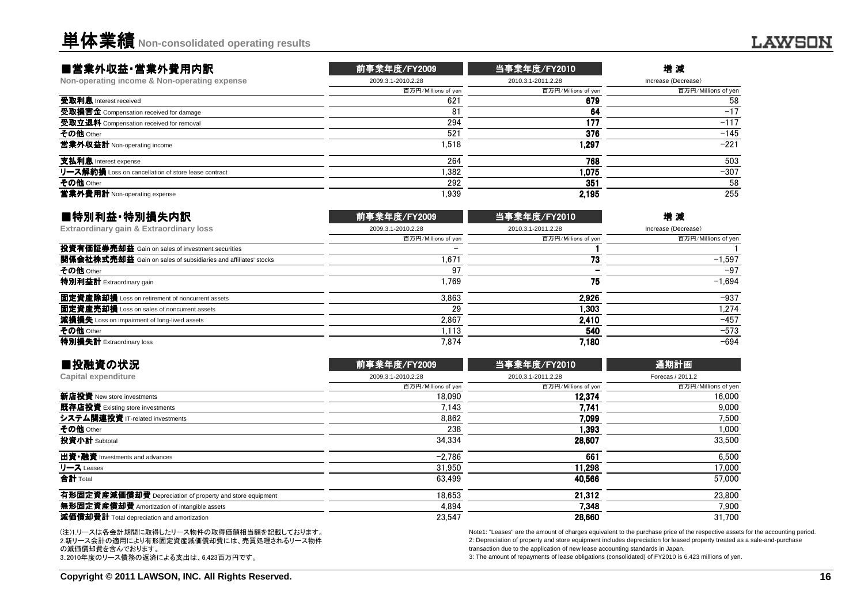### ■営業外収益・営業外費用内訳

| 2010.3.1-2011.2.28<br>百万円/Millions of yen<br>百万円/Millions of yen | Increase (Decrease) |
|------------------------------------------------------------------|---------------------|
|                                                                  |                     |
|                                                                  | 百万円/Millions of yen |
| 679<br>621                                                       | 58                  |
| 64<br>81                                                         | $-17$               |
| 177<br>294                                                       | $-117$              |
| 376<br>521                                                       | $-145$              |
| 1.518<br>1.297                                                   | $-221$              |
| 768<br>264                                                       | 503                 |
| .382<br>1.075                                                    | $-307$              |
| 292<br>351                                                       | 58                  |
| 1.939<br>2.195                                                   | 255                 |
|                                                                  |                     |

| ■特別利益·特別損失内訳                                                          | 前事業年度/FY2009        | 当事業年度/FY2010        | 増減                  |
|-----------------------------------------------------------------------|---------------------|---------------------|---------------------|
| Extraordinary gain & Extraordinary loss                               | 2009.3.1-2010.2.28  | 2010.3.1-2011.2.28  | Increase (Decrease) |
|                                                                       | 百万円/Millions of yen | 百万円/Millions of yen | 百万円/Millions of yen |
| 投資有価証券売却益 Gain on sales of investment securities                      |                     |                     |                     |
| <b>関係会社株式売却益</b> Gain on sales of subsidiaries and affiliates' stocks | 1,671               | 73                  | $-1.597$            |
| その他 Other                                                             | 97                  |                     | $-97$               |
| 特別利益計 Extraordinary gain                                              | .769                | 75                  | $-1.694$            |
| 固定資産除却損 Loss on retirement of noncurrent assets                       | 3.863               | 2.926               | $-937$              |
| <b>固定資産売却損</b> Loss on sales of noncurrent assets                     | 29                  | 1.303               | 1.274               |
| 減損損失 Loss on impairment of long-lived assets                          | 2.867               | 2.410               | $-457$              |
| その他 Other                                                             | 1.113               | 540                 | $-573$              |
| 特別損失計 Extraordinary loss                                              | 7.874               | 7.180               | $-694$              |
|                                                                       |                     |                     |                     |

| ■投融資の状況                                                  | 前事業年度/FY2009        | 当事業年度/FY2010        | 通期計画                |
|----------------------------------------------------------|---------------------|---------------------|---------------------|
| Capital expenditure                                      | 2009.3.1-2010.2.28  | 2010.3.1-2011.2.28  | Forecas / 2011.2    |
|                                                          | 百万円/Millions of yen | 百万円/Millions of yen | 百万円/Millions of yen |
| 新店投資 New store investments                               | 18.090              | 12.374              | 16.000              |
| 既存店投資 Existing store investments                         | 7.143               | 7.741               | 9.000               |
| システム関連投資 IT-related investments                          | 8.862               | 7.099               | 7.500               |
| その他 Other                                                | 238                 | 1.393               | 1,000               |
| 投資小計 Subtotal                                            | 34.334              | 28.607              | 33,500              |
| 出資·融資 Investments and advances                           | $-2.786$            | 661                 | 6.500               |
| リース Leases                                               | 31,950              | 11.298              | 17,000              |
| 合計 Total                                                 | 63.499              | 40.566              | 57,000              |
| 有形固定資産減価償却費 Depreciation of property and store equipment | 18.653              | 21.312              | 23,800              |
| 無形固定資産償却費 Amortization of intangible assets              | 4.894               | 7.348               | 7,900               |
| 減価償却費計 Total depreciation and amortization               | 23,547              | 28,660              | 31.700              |
|                                                          |                     |                     |                     |

(注)1.リースは各会計期間に取得したリース物件の取得価額相当額を記載しております。 2.新リース会計の適用により有形固定資産減価償却費には、売買処理されるリース物件の減価償却費を含んでおります。3..2010年度のリース債務の返済による支出は、6,423百万円です。

Note1: "Leases" are the amount of charges equivalent to the purchase price of the respective assets for the accounting period. 2: Depreciation of property and store equipment includes depreciation for leased property treated as a sale-and-purchasetransaction due to the application of new lease accounting standards in Japan.

3: The amount of repayments of lease obligations (consolidated) of FY2010 is 6,423 millions of yen.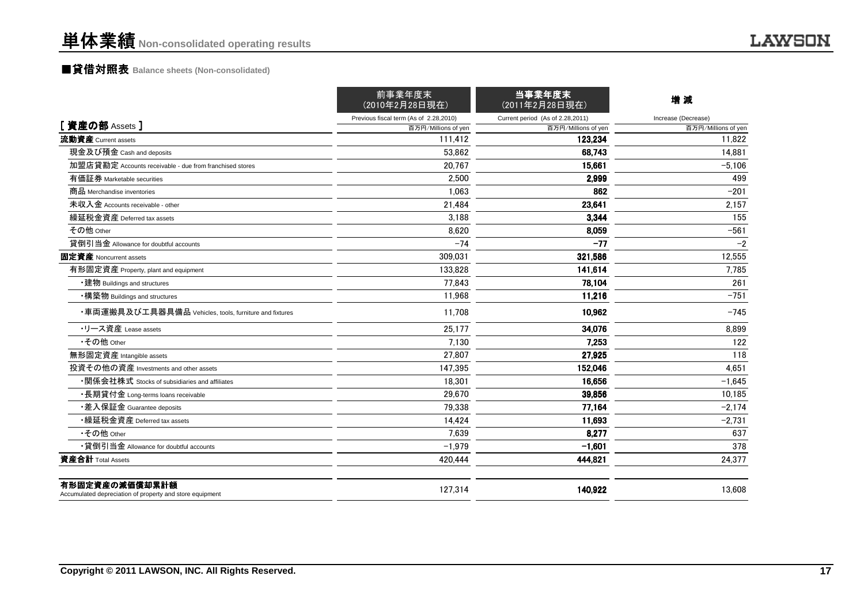# ■貸借対照表 **Balance sheets (Non-consolidated)**

|                                                                            | 前事業年度末<br>(2010年2月28日現在)               | 当事業年度末<br>(2011年2月28日現在)         | 増減                  |
|----------------------------------------------------------------------------|----------------------------------------|----------------------------------|---------------------|
|                                                                            | Previous fiscal term (As of 2.28,2010) | Current period (As of 2.28,2011) | Increase (Decrease) |
| [資産の部 Assets]                                                              | 百万円/Millions of yen                    | 百万円/Millions of yen              | 百万円/Millions of yer |
| 流動資産 Current assets                                                        | 111.412                                | 123.234                          | 11.822              |
| 現金及び預金 Cash and deposits                                                   | 53.862                                 | 68,743                           | 14,881              |
| 加盟店貸勘定 Accounts receivable - due from franchised stores                    | 20,767                                 | 15,661                           | $-5,106$            |
| 有価証券 Marketable securities                                                 | 2.500                                  | 2,999                            | 499                 |
| 商品 Merchandise inventories                                                 | 1.063                                  | 862                              | $-201$              |
| 未収入金 Accounts receivable - other                                           | 21,484                                 | 23,641                           | 2.157               |
| 繰延税金資産 Deferred tax assets                                                 | 3,188                                  | 3,344                            | 155                 |
| その他 Other                                                                  | 8,620                                  | 8,059                            | $-561$              |
| 貸倒引当金 Allowance for doubtful accounts                                      | $-74$                                  | $-77$                            | $-2$                |
| 固定資産 Noncurrent assets                                                     | 309,031                                | 321,586                          | 12,555              |
| 有形固定資産 Property, plant and equipment                                       | 133.828                                | 141.614                          | 7.785               |
| •建物 Buildings and structures                                               | 77,843                                 | 78,104                           | 261                 |
| •構築物 Buildings and structures                                              | 11,968                                 | 11,216                           | $-751$              |
| ・車両運搬具及び工具器具備品 Vehicles, tools, furniture and fixtures                     | 11.708                                 | 10,962                           | $-745$              |
| ・リース資産 Lease assets                                                        | 25,177                                 | 34,076                           | 8,899               |
| •その他 Other                                                                 | 7.130                                  | 7,253                            | 122                 |
| 無形固定資産 Intangible assets                                                   | 27.807                                 | 27,925                           | 118                 |
| 投資その他の資産 Investments and other assets                                      | 147,395                                | 152,046                          | 4,651               |
| ・関係会社株式 Stocks of subsidiaries and affiliates                              | 18,301                                 | 16,656                           | $-1,645$            |
| ・長期貸付金 Long-terms loans receivable                                         | 29.670                                 | 39,856                           | 10,185              |
| •差入保証金 Guarantee deposits                                                  | 79,338                                 | 77,164                           | $-2,174$            |
| ・繰延税金資産 Deferred tax assets                                                | 14,424                                 | 11,693                           | $-2,731$            |
| •その他 Other                                                                 | 7.639                                  | 8,277                            | 637                 |
| •貸倒引当金 Allowance for doubtful accounts                                     | $-1.979$                               | $-1.601$                         | 378                 |
| 資産合計 Total Assets                                                          | 420,444                                | 444,821                          | 24,377              |
| 有形固定資産の減価償却累計額<br>Accumulated depreciation of property and store equipment | 127.314                                | 140,922                          | 13,608              |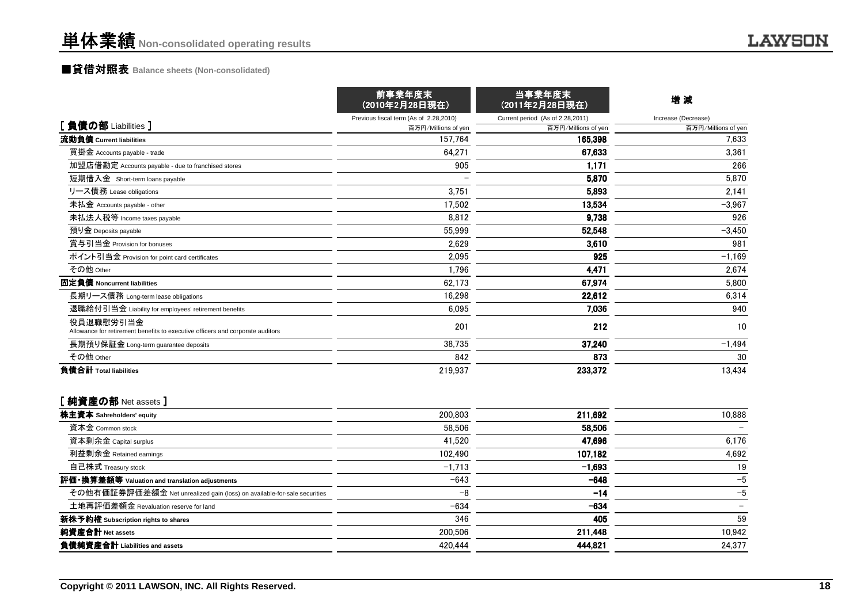# ■貸借対照表 **Balance sheets (Non-consolidated)**

|                                                                                             | 前事業年度末<br>(2010年2月28日現在)               | 当事業年度末<br>(2011年2月28日現在)         | 増減                  |
|---------------------------------------------------------------------------------------------|----------------------------------------|----------------------------------|---------------------|
|                                                                                             | Previous fiscal term (As of 2.28,2010) | Current period (As of 2.28,2011) | Increase (Decrease) |
| [負債の部 Liabilities ]                                                                         | 百万円/Millions of yen                    | 百万円/Millions of yen              | 百万円/Millions of yen |
| 流動負債 Current liabilities                                                                    | 157.764                                | 165,398                          | 7,633               |
| 買掛金 Accounts payable - trade                                                                | 64,271                                 | 67,633                           | 3,361               |
| 加盟店借勘定 Accounts payable - due to franchised stores                                          | 905                                    | 1,171                            | 266                 |
| 短期借入金 Short-term loans payable                                                              |                                        | 5,870                            | 5,870               |
| リース債務 Lease obligations                                                                     | 3,751                                  | 5,893                            | 2,141               |
| 未払金 Accounts payable - other                                                                | 17,502                                 | 13,534                           | $-3,967$            |
| 未払法人税等 Income taxes payable                                                                 | 8,812                                  | 9,738                            | 926                 |
| 預り金 Deposits payable                                                                        | 55,999                                 | 52,548                           | $-3,450$            |
| 賞与引当金 Provision for bonuses                                                                 | 2,629                                  | 3.610                            | 981                 |
| ポイント引当金 Provision for point card certificates                                               | 2,095                                  | 925                              | $-1,169$            |
| その他 Other                                                                                   | 1,796                                  | 4,471                            | 2,674               |
| 固定負債 Noncurrent liabilities                                                                 | 62,173                                 | 67,974                           | 5,800               |
| 長期リース債務 Long-term lease obligations                                                         | 16,298                                 | 22,612                           | 6,314               |
| 退職給付引当金 Liability for employees' retirement benefits                                        | 6,095                                  | 7,036                            | 940                 |
| 役員退職慰労引当金<br>Allowance for retirement benefits to executive officers and corporate auditors | 201                                    | 212                              | 10                  |
| 長期預り保証金 Long-term guarantee deposits                                                        | 38,735                                 | 37.240                           | $-1,494$            |
| その他 Other                                                                                   | 842                                    | 873                              | 30                  |
| 負債合計 Total liabilities                                                                      | 219,937                                | 233,372                          | 13,434              |

### [ 純資産の部 Net assets ]

| 株主資本 Sahreholders' equity                                                | 200,803  | 211.692  | 10.888 |
|--------------------------------------------------------------------------|----------|----------|--------|
| 資本金 Common stock                                                         | 58.506   | 58.506   |        |
| 資本剰余金 Capital surplus                                                    | 41.520   | 47.696   | 6.176  |
| 利益剰余金 Retained earnings                                                  | 102,490  | 107,182  | 4.692  |
| 自己株式 Treasury stock                                                      | $-1,713$ | $-1,693$ | 19     |
| 評価・換算差額等 Valuation and translation adjustments                           | $-643$   | $-648$   | $-5$   |
| その他有価証券評価差額金 Net unrealized gain (loss) on available-for-sale securities | $-8$     | $-14$    | $-5$   |
| 土地再評価差額金 Revaluation reserve for land                                    | $-634$   | $-634$   |        |
| 新株予約権 Subscription rights to shares                                      | 346      | 405      | 59     |
| 純資産合計 Net assets                                                         | 200,506  | 211,448  | 10.942 |
| 負債純資産合計 Liabilities and assets                                           | 420,444  | 444,821  | 24.377 |
|                                                                          |          |          |        |

**LAWSON**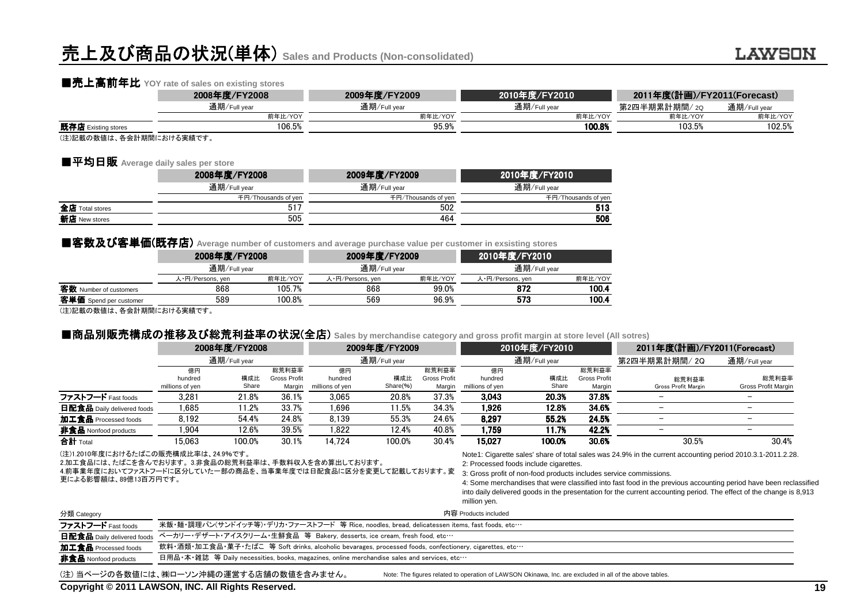# 売上及び商品の状況(単体) **Sales and Products (Non-consolidated)**

# ■売上高前年比 YOY rate of sales on existing stores<br>2008年度/FY2008

|                         | 2008年度/FY2008 | 2009年度/FY2009 | 2010年度/FY2010 | 2011年度(計画)/FY2011(Forecast) |              |
|-------------------------|---------------|---------------|---------------|-----------------------------|--------------|
|                         | 通期/Full year  | 通期/Full year  | 通期/Full year  | 第2四半期累計期間/ 2Q               | 通期/Full year |
|                         | 前年比/YOY       | 前年比/YOY       | 前年比/YOY       | 前年比/YOY                     | 前年比/YOY      |
| 既存店 Existing stores     | 106.5%        | 95.9%         | 100.8%        | 103.5%                      | 102.5%       |
| (注)記載の数値け 久全計期間における実績です |               |               |               |                             |              |

(注)記載の数値は、各会計期間における実績です。

### ■平均日販 **Average daily sales per store**

|                 | 2008年度/FY2008       | 2009年度/FY2009       | 2010年度/FY2010       |
|-----------------|---------------------|---------------------|---------------------|
|                 | 通期/Full year        | 通期/Full year        | 通期/Full year        |
|                 | 千円/Thousands of yen | 千円/Thousands of yen | 千円/Thousands of yen |
| 全店 Total stores | 517                 | 502                 | 513                 |
| 新店 New stores   | 505                 | 464                 | 506                 |
|                 |                     |                     |                     |

#### ■客数及び客単価(既存店) Average number of customers and average purchase value per customer in exsisting stores

|                         | 2008年度/FY2008    |         | 2009年度/FY2009    |         | 2010年度/FY2010    |         |  |
|-------------------------|------------------|---------|------------------|---------|------------------|---------|--|
|                         | 通期/Full year     |         | 通期/Full year     |         | 通期/Full year     |         |  |
|                         | 人・円/Persons, yen | 前年比/YOY | 人・円/Persons, yen | 前年比/YOY | 人·円/Persons, yen | 前年比/YOY |  |
| 客数 Number of customers  | 868              | 105.7%  | 868              | 99.0%   | 872              | 100.4   |  |
| 客単価 Spend per customer  | 589              | 100.8%  | 569              | 96.9%   | 573              | 100.4   |  |
| (注)記載の数値け 久全計期間における実績です |                  |         |                  |         |                  |         |  |

(注)記載の数値は、各会計期間における実績です。

# ■商品別販売構成 ■商品別販売構成の推移及び総荒利益率の状況(全店) **Sales by merchandise category and gross profit margin at store level (All sotres)**

|                                                                                                                                              | 2008年度/FY2008                    |              |                                        | 2009年度/FY2009                                                                               |                 | 2010年度/FY2010<br>通期/Full year          |                                                                                                                              | 2011年度(計画)/FY2011(Forecast) |                                        |                                                                                                                                                                                                                                          |                              |
|----------------------------------------------------------------------------------------------------------------------------------------------|----------------------------------|--------------|----------------------------------------|---------------------------------------------------------------------------------------------|-----------------|----------------------------------------|------------------------------------------------------------------------------------------------------------------------------|-----------------------------|----------------------------------------|------------------------------------------------------------------------------------------------------------------------------------------------------------------------------------------------------------------------------------------|------------------------------|
|                                                                                                                                              |                                  | 通期/Full year |                                        | 通期/Full year                                                                                |                 |                                        |                                                                                                                              | 第2四半期累計期間/ 2Q               | 通期/Full year                           |                                                                                                                                                                                                                                          |                              |
|                                                                                                                                              | 億円<br>hundred<br>millions of yen | 構成比<br>Share | 総荒利益率<br><b>Gross Profit</b><br>Margin | 億円<br>hundred<br>millions of yen                                                            | 構成比<br>Share(%) | 総荒利益率<br><b>Gross Profit</b><br>Margin | 億円<br>hundred<br>millions of yen                                                                                             | 構成比<br>Share                | 総荒利益率<br><b>Gross Profit</b><br>Margin | 総荒利益率<br>Gross Profit Margin                                                                                                                                                                                                             | 総荒利益率<br>Gross Profit Margin |
| ファストフード Fast foods                                                                                                                           | 3,281                            | 21.8%        | 36.1%                                  | 3.065                                                                                       | 20.8%           | 37.3%                                  | 3,043                                                                                                                        | 20.3%                       | 37.8%                                  |                                                                                                                                                                                                                                          |                              |
| <b>日配食品</b> Daily delivered foods                                                                                                            | 1.685                            | 11.2%        | 33.7%                                  | 1.696                                                                                       | 11.5%           | 34.3%                                  | 1.926                                                                                                                        | 12.8%                       | 34.6%                                  | $\overline{\phantom{0}}$                                                                                                                                                                                                                 | $\overline{\phantom{m}}$     |
| 加工食品 Processed foods                                                                                                                         | 8.192                            | 54.4%        | 24.8%                                  | 8.139                                                                                       | 55.3%           | 24.6%                                  | 8.297                                                                                                                        | 55.2%                       | 24.5%                                  | $\qquad \qquad$                                                                                                                                                                                                                          | $\overline{\phantom{m}}$     |
| 非食品 Nonfood products                                                                                                                         | 1.904                            | 12.6%        | 39.5%                                  | 1.822                                                                                       | 12.4%           | 40.8%                                  | 1.759                                                                                                                        | 11.7%                       | 42.2%                                  |                                                                                                                                                                                                                                          |                              |
| 合計 Total                                                                                                                                     | 15.063                           | 100.0%       | 30.1%                                  | 14.724                                                                                      | 100.0%          | 30.4%                                  | 15.027                                                                                                                       | 100.0%                      | 30.6%                                  | 30.5%                                                                                                                                                                                                                                    | 30.4%                        |
| 2.加工食品には、たばこを含んでおります。3.非食品の総荒利益率は、手数料収入を含め算出しております。<br>4.前事業年度においてファストフードに区分していた一部の商品を、当事業年度では日配食品に区分を変更して記載しております。変<br>更による影響額は、89億13百万円です。 |                                  |              |                                        |                                                                                             |                 |                                        | 2: Processed foods include cigarettes.<br>3: Gross profit of non-food products includes service commissions.<br>million yen. |                             |                                        | 4: Some merchandises that were classified into fast food in the previous accounting period have been reclassified<br>into daily delivered goods in the presentation for the current accounting period. The effect of the change is 8,913 |                              |
| 分類 Category                                                                                                                                  |                                  |              |                                        |                                                                                             |                 |                                        | 内容 Products included                                                                                                         |                             |                                        |                                                                                                                                                                                                                                          |                              |
| ファストフード Fast foods                                                                                                                           |                                  |              |                                        |                                                                                             |                 |                                        | 米飯・麺・調理パン(サンドイッチ等)・デリカ・ファーストフード 等 Rice, noodles, bread, delicatessen items, fast foods, etc…                                 |                             |                                        |                                                                                                                                                                                                                                          |                              |
| 日配食品 Daily delivered foods                                                                                                                   |                                  |              |                                        | ベーカリー・デザート・アイスクリーム・生鮮食品 等 Bakery, desserts, ice cream, fresh food, etc…                     |                 |                                        |                                                                                                                              |                             |                                        |                                                                                                                                                                                                                                          |                              |
| 加工食品 Processed foods                                                                                                                         |                                  |              |                                        |                                                                                             |                 |                                        | 飲料・酒類・加工食品・菓子・たばこ 等 Soft drinks, alcoholic bevarages, processed foods, confectionery, cigarettes, etc…                       |                             |                                        |                                                                                                                                                                                                                                          |                              |
| 非食品 Nonfood products                                                                                                                         |                                  |              |                                        | 日用品•本•雑誌 等 Daily necessities, books, magazines, online merchandise sales and services, etc… |                 |                                        |                                                                                                                              |                             |                                        |                                                                                                                                                                                                                                          |                              |
|                                                                                                                                              |                                  |              |                                        |                                                                                             |                 |                                        |                                                                                                                              |                             |                                        |                                                                                                                                                                                                                                          |                              |

(注) 当ページの各数値には、㈱ローソン沖縄の運営する店舗の数値を含みません。Note: The figures related to operation of LAWSON Okinawa, Inc. are excluded in all of the above tables.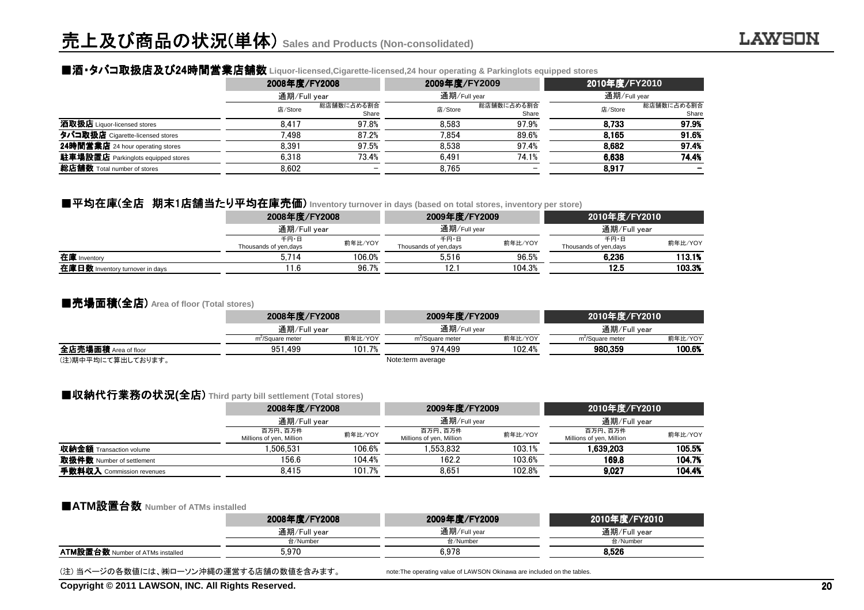# ■酒▪タバコ取扱店及び24時間営業店舗数 Liquor-licensed,Cigarette-licensed,24 hour operating & Parkinglots equipped stores<br>2008年度/FY2009

|                                    | 2008年度/FY2008 |                          | 2009年度/FY2009 |                     | 2010年度/FY2010 |                     |
|------------------------------------|---------------|--------------------------|---------------|---------------------|---------------|---------------------|
|                                    |               | 通期/Full year             |               | 通期/Full year        |               | 通期/Full year        |
|                                    | 店/Store       | 総店舗数に占める割合<br>Share      | 店/Store       | 総店舗数に占める割合<br>Share | 店/Store       | 総店舗数に占める割合<br>Share |
| 酒取扱店 Liquor-licensed stores        | 8.417         | 97.8%                    | 8.583         | 97.9%               | 8.733         | 97.9%               |
| タバコ取扱店 Cigarette-licensed stores   | 7.498         | 87.2%                    | 7.854         | 89.6%               | 8.165         | 91.6%               |
| 24時間営業店 24 hour operating stores   | 8.391         | 97.5%                    | 8.538         | 97.4%               | 8.682         | 97.4%               |
| 駐車場設置店 Parkinglots equipped stores | 6.318         | 73.4%                    | 6.491         | 74.1%               | 6.638         | 74.4%               |
| 総店舗数 Total number of stores        | 8.602         | $\overline{\phantom{0}}$ | 8.765         |                     | 8,917         |                     |

# ■平均在庫(全店 期末1店舗当たり平均在庫売価 たり平均在庫売価) **Inventory turnover in days (based on total stores, inventory per store)**

|                                 | 2008年度/FY2008                  |         | 2009年度/FY2009                 |         | 2010年度/FY2010                  |         |
|---------------------------------|--------------------------------|---------|-------------------------------|---------|--------------------------------|---------|
|                                 | 通期/Full year                   |         | 通期/Full year                  |         | 通期/Full year                   |         |
|                                 | 千円・日<br>Thousands of yen, days | 前年比/YOY | 千円・日<br>Thousands of yen,days | 前年比/YOY | 千円・日<br>Thousands of yen, days | 前年比/YOY |
| 在庫 Inventory                    | 5.714                          | 106.0%  | 5.516                         | 96.5%   | 6.236                          | 113.1%  |
| 在庫日数 Inventory turnover in days | 1.6                            | 96.7%   | 12.                           | 104.3%  | 12.5                           | 103.3%  |
|                                 |                                |         |                               |         |                                |         |

#### ■売場面積(全店) **Area of floor (Total stores)**

|                      |                              | 2008年度/FY2008<br>通期/Full year |                              | 2009年度/FY2009 |                              |         |  |
|----------------------|------------------------------|-------------------------------|------------------------------|---------------|------------------------------|---------|--|
|                      |                              |                               |                              | 通期/Full vear  | 通期/Full year                 |         |  |
|                      | m <sup>2</sup> /Square meter | 前年比/YOY                       | m <sup>2</sup> /Square meter | 前年比/YOY       | m <sup>-</sup> /Square meter | 前年比/YOY |  |
| 全店売場面積 Area of floor | 951.499                      | 101.7%                        | 974.499                      | 102.4%        | 980.359                      | 100.6%  |  |
| (注)期中平均にて算出しております。   |                              |                               | Note:term average            |               |                              |         |  |

# ■収納代行業務の状況(全店) Third party bill settlement (Total stores)<br>2008年度/FY2008

|                                | 2008年度/FY2008                       |              | 2009年度/FY2009                       |              | 2010年度/FY2010                       |         |
|--------------------------------|-------------------------------------|--------------|-------------------------------------|--------------|-------------------------------------|---------|
|                                |                                     | 通期/Full year |                                     | 通期/Full year | 通期/Full year                        |         |
|                                | 百万円、百万件<br>Millions of yen, Million | 前年比/YOY      | 百万円、百万件<br>Millions of yen, Million | 前年比/YOY      | 百万円、百万件<br>Millions of yen, Million | 前年比/YOY |
| <b>収納金額</b> Transaction volume | .506.531                            | 106.6%       | .553.832                            | 103.1%       | 1.639.203                           | 105.5%  |
| 取扱件数 Number of settlement      | 156.6                               | 104.4%       | 162.2                               | 103.6%       | 169.8                               | 104.7%  |
| 手数料収入 Commission revenues      | 8.415                               | 101.7%       | 8.651                               | 102.8%       | 9,027                               | 104.4%  |

# ■**ATM**設置台数 **Number of ATMs installed**

|                                         | 2008年度/FY2008 | 2009年度/FY2009 | 2010年度/FY2010 |
|-----------------------------------------|---------------|---------------|---------------|
|                                         | 通期/Full year  | 通期/Full year  | 通期/Full vear  |
|                                         | 台/Number      | 台/Number      | 台/Number      |
| <b>ATM設置台数 Number of ATMs installed</b> | 5.970         | 6.978         | 8.526         |
|                                         |               |               |               |

(注) 当ページの各数値には、㈱ローソン沖縄の運営する店舗の数値を含みます。

note:The operating value of LAWSON Okinawa are included on the tables.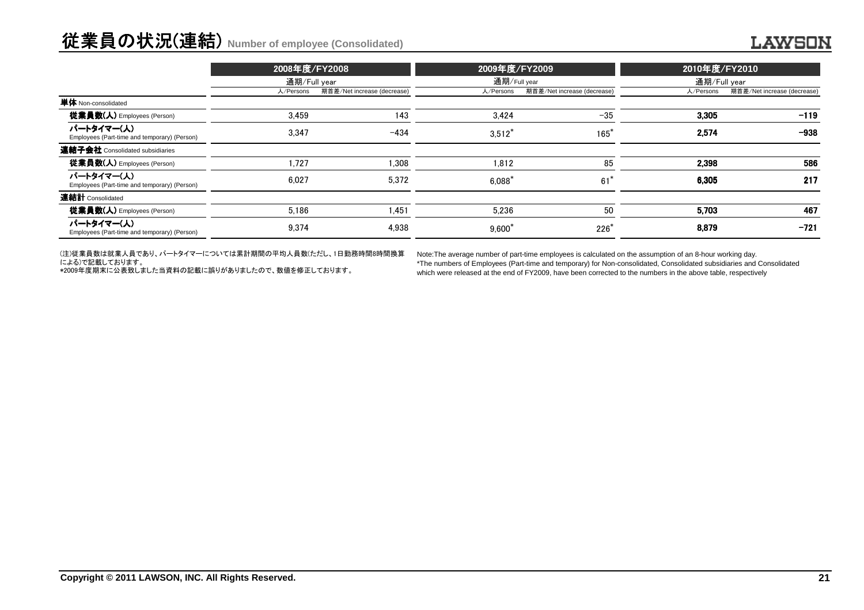# 従業員の状況(連結) **Number of employee (Consolidated)**

|                                                            | 2008年度/FY2008 |                             | 2009年度/FY2009 |                             | 2010年度/FY2010 |                             |
|------------------------------------------------------------|---------------|-----------------------------|---------------|-----------------------------|---------------|-----------------------------|
|                                                            |               | 通期/Full year                |               | 通期/Full year                | 通期/Full year  |                             |
|                                                            | 人/Persons     | 期首差/Net increase (decrease) | 人/Persons     | 期首差/Net increase (decrease) | 人/Persons     | 期首差/Net increase (decrease) |
| 単体 Non-consolidated                                        |               |                             |               |                             |               |                             |
| <b>従業員数(人)</b> Employees (Person)                          | 3.459         | 143                         | 3.424         | $-35$                       | 3,305         | $-119$                      |
| パートタイマー(人)<br>Employees (Part-time and temporary) (Person) | 3.347         | $-434$                      | $3,512*$      | $165*$                      | 2,574         | $-938$                      |
| 連結子会社 Consolidated subsidiaries                            |               |                             |               |                             |               |                             |
| 従業員数(人) Employees (Person)                                 | 1.727         | 1.308                       | 1.812         | 85                          | 2.398         | 586                         |
| パートタイマー(人)<br>Employees (Part-time and temporary) (Person) | 6.027         | 5,372                       | $6.088*$      | $61^*$                      | 6.305         | 217                         |
| 連結計 Consolidated                                           |               |                             |               |                             |               |                             |
| <b>従業員数(人)</b> Employees (Person)                          | 5,186         | 1,451                       | 5.236         | 50                          | 5.703         | 467                         |
| パートタイマー(人)<br>Employees (Part-time and temporary) (Person) | 9,374         | 4,938                       | $9,600^*$     | $226*$                      | 8.879         | $-721$                      |

(注)従業員数は就業人員であり、パートタイマーについては累計期間の平均人員数(ただし、1日勤務時間8時間換算

による)で記載しております。 \*2009年度期末に公表致しました当資料の記載に誤りがありましたので、数値を修正しております。

Note:The average number of part-time employees is calculated on the assumption of an 8-hour working day.

 \*The numbers of Employees (Part-time and temporary) for Non-consolidated, Consolidated subsidiaries and Consolidatedwhich were released at the end of FY2009, have been corrected to the numbers in the above table, respectively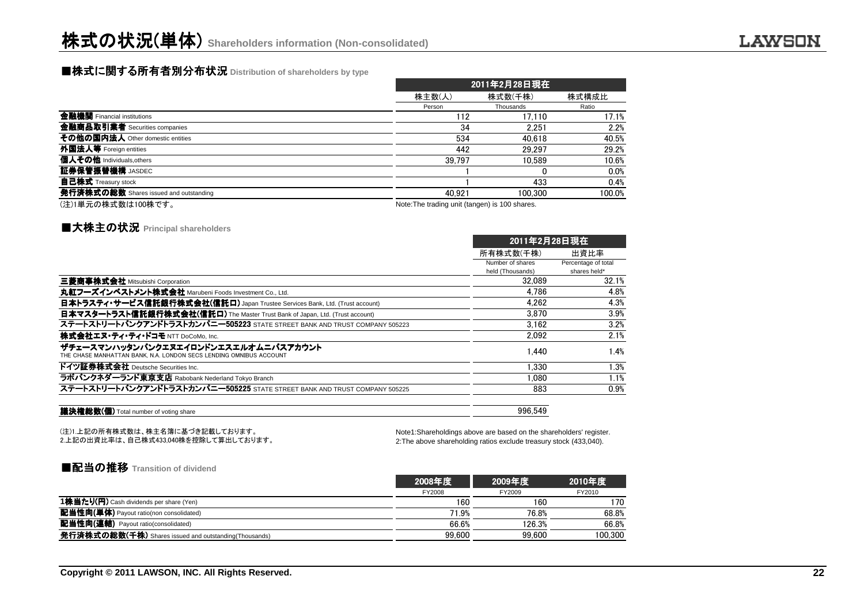# ■株式に関する所有者別分布状況 Distribution of shareholders by type<br>→

|                                        |                                                | 2011年2月28日現在 |        |  |  |  |
|----------------------------------------|------------------------------------------------|--------------|--------|--|--|--|
|                                        | 株主数(人)                                         | 株式数(千株)      | 株式構成比  |  |  |  |
|                                        | Person                                         | Thousands    | Ratio  |  |  |  |
| 金融機関 Financial institutions            | 112                                            | 17.110       | 17.1%  |  |  |  |
| 金融商品取引業者 Securities companies          | 34                                             | 2.251        | 2.2%   |  |  |  |
| その他の国内法人 Other domestic entities       | 534                                            | 40.618       | 40.5%  |  |  |  |
| 外国法人等 Foreign entities                 | 442                                            | 29.297       | 29.2%  |  |  |  |
| 個人その他 Individuals, others              | 39.797                                         | 10.589       | 10.6%  |  |  |  |
| 証券保管振替機構 JASDEC                        |                                                |              | 0.0%   |  |  |  |
| <b>自己株式</b> Treasury stock             |                                                | 433          | 0.4%   |  |  |  |
| 発行済株式の総数 Shares issued and outstanding | 40.921                                         | 100.300      | 100.0% |  |  |  |
| (注)1単元の株式数は100株です。                     | Note: The trading unit (tangen) is 100 shares. |              |        |  |  |  |

### **■大株主の状況 Principal shareholders**

| 2011年2月28日現在     |                     |
|------------------|---------------------|
| 所有株式数(千株)        | 出資比率                |
| Number of shares | Percentage of total |
| held (Thousands) | shares held*        |
| 32.089           | 32.1%               |
| 4.786            | 4.8%                |
| 4.262            | 4.3%                |
| 3.870            | 3.9%                |
| 3.162            | 3.2%                |
| 2.092            | 2.1%                |
| 1.440            | 1.4%                |
| 1.330            | 1.3%                |
| 1.080            | 1.1%                |
| 883              | 0.9%                |
|                  |                     |

議決権総数(個) Total number of voting share

996,549

(注)1.上記の所有株式数は、株主名簿に基づき記載しております。2.上記の出資比率は、自己株式433,040株を控除して算出しております。

Note1:Shareholdings above are based on the shareholders' register.2:The above shareholding ratios exclude treasury stock (433,040).

#### ■配当の推移 **Transition of dividend**

|                                                              | 2008年度 | 2009年度 | 2010年度  |
|--------------------------------------------------------------|--------|--------|---------|
|                                                              | FY2008 | FY2009 | FY2010  |
| 1株当たり(円) Cash dividends per share (Yen)                      | 160    | 160    | 170     |
| 配当性向(単体) Payout ratio(non consolidated)                      | 71.9%  | 76.8%  | 68.8%   |
| <b>配当性向(連結)</b> Payout ratio(consolidated)                   | 66.6%  | 126.3% | 66.8%   |
| <b>発行済株式の総数(千株)</b> Shares issued and outstanding(Thousands) | 99.600 | 99.600 | 100.300 |
|                                                              |        |        |         |